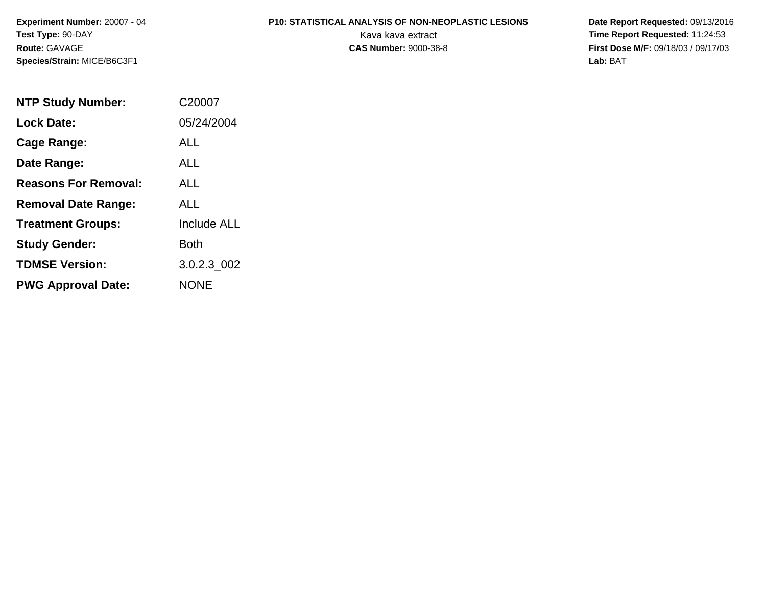**Experiment Number:** 20007 - 04**Test Type:** 90-DAY**Route:** GAVAGE**Species/Strain:** MICE/B6C3F1

# **P10: STATISTICAL ANALYSIS OF NON-NEOPLASTIC LESIONS**

 **Date Report Requested:** 09/13/2016 Kava kava extract **Time Report Requested:** 11:24:53<br>**CAS Number:** 9000-38-8 **Time Report Requested:** 11:24:53 **First Dose M/F:** 09/18/03 / 09/17/03<br>Lab: BAT **Lab:** BAT

| <b>NTP Study Number:</b>    | C20007             |
|-----------------------------|--------------------|
| <b>Lock Date:</b>           | 05/24/2004         |
| Cage Range:                 | ALL                |
| Date Range:                 | ALL                |
| <b>Reasons For Removal:</b> | AI I               |
| <b>Removal Date Range:</b>  | ALL                |
| <b>Treatment Groups:</b>    | <b>Include ALL</b> |
| <b>Study Gender:</b>        | Both               |
| <b>TDMSE Version:</b>       | 3.0.2.3 002        |
| <b>PWG Approval Date:</b>   | <b>NONE</b>        |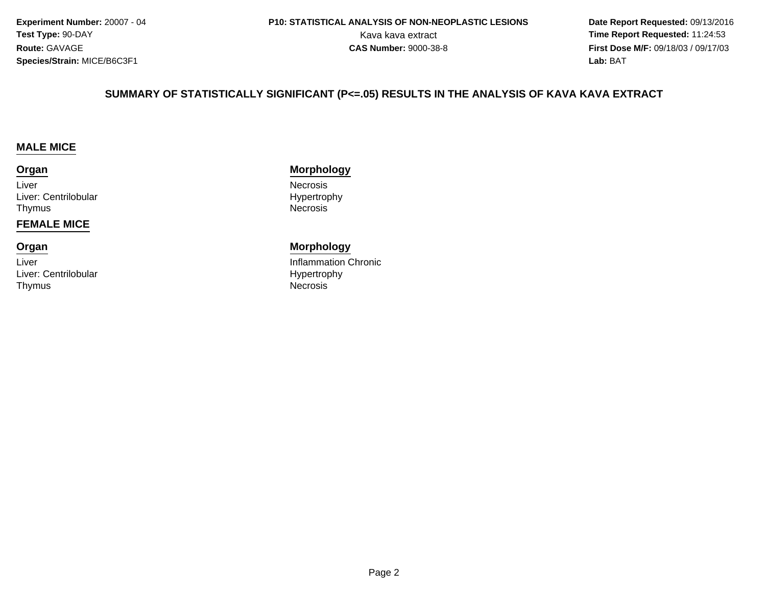**Experiment Number:** 20007 - 04**Test Type:** 90-DAY**Route:** GAVAGE**Species/Strain:** MICE/B6C3F1

 **Date Report Requested:** 09/13/2016 Kava kava extract **Time Report Requested:** 11:24:53<br>**CAS Number:** 9000-38-8<br>**Time Report Requested:** 11:24:53 **First Dose M/F:** 09/18/03 / 09/17/03<br>**Lab:** BAT **Lab:** BAT

#### **SUMMARY OF STATISTICALLY SIGNIFICANT (P<=.05) RESULTS IN THE ANALYSIS OF KAVA KAVA EXTRACT**

#### **MALE MICE**

#### **Organ**

LiverLiver: CentrilobularThymusNecrosis

#### **FEMALE MICE**

# **Organ**

LiverLiver: CentrilobularThymusNecrosis

#### **Morphology**

 NecrosisHypertrophy

#### **Morphology**

 Inflammation ChronicHypertrophy<br>Necrosis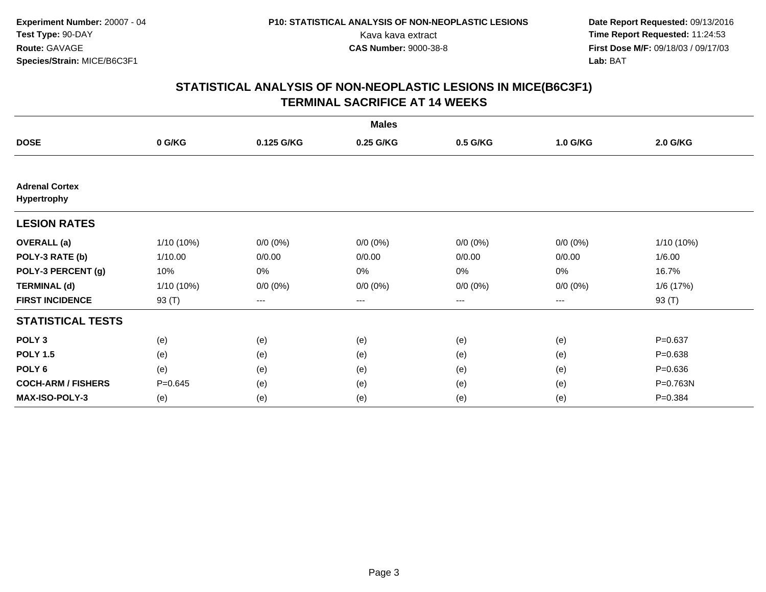|                                      |             |             | <b>Males</b> |             |             |             |
|--------------------------------------|-------------|-------------|--------------|-------------|-------------|-------------|
| <b>DOSE</b>                          | 0 G/KG      | 0.125 G/KG  | 0.25 G/KG    | 0.5 G/KG    | 1.0 G/KG    | 2.0 G/KG    |
|                                      |             |             |              |             |             |             |
| <b>Adrenal Cortex</b><br>Hypertrophy |             |             |              |             |             |             |
| <b>LESION RATES</b>                  |             |             |              |             |             |             |
| <b>OVERALL</b> (a)                   | 1/10 (10%)  | $0/0 (0\%)$ | $0/0 (0\%)$  | $0/0 (0\%)$ | $0/0 (0\%)$ | 1/10 (10%)  |
| POLY-3 RATE (b)                      | 1/10.00     | 0/0.00      | 0/0.00       | 0/0.00      | 0/0.00      | 1/6.00      |
| POLY-3 PERCENT (g)                   | 10%         | 0%          | 0%           | 0%          | $0\%$       | 16.7%       |
| <b>TERMINAL (d)</b>                  | 1/10 (10%)  | $0/0 (0\%)$ | $0/0 (0\%)$  | $0/0 (0\%)$ | $0/0 (0\%)$ | 1/6 (17%)   |
| <b>FIRST INCIDENCE</b>               | 93 (T)      | $--$        | ---          | ---         | ---         | 93 (T)      |
| <b>STATISTICAL TESTS</b>             |             |             |              |             |             |             |
| POLY <sub>3</sub>                    | (e)         | (e)         | (e)          | (e)         | (e)         | $P = 0.637$ |
| <b>POLY 1.5</b>                      | (e)         | (e)         | (e)          | (e)         | (e)         | $P = 0.638$ |
| POLY 6                               | (e)         | (e)         | (e)          | (e)         | (e)         | $P = 0.636$ |
| <b>COCH-ARM / FISHERS</b>            | $P = 0.645$ | (e)         | (e)          | (e)         | (e)         | P=0.763N    |
| <b>MAX-ISO-POLY-3</b>                | (e)         | (e)         | (e)          | (e)         | (e)         | $P = 0.384$ |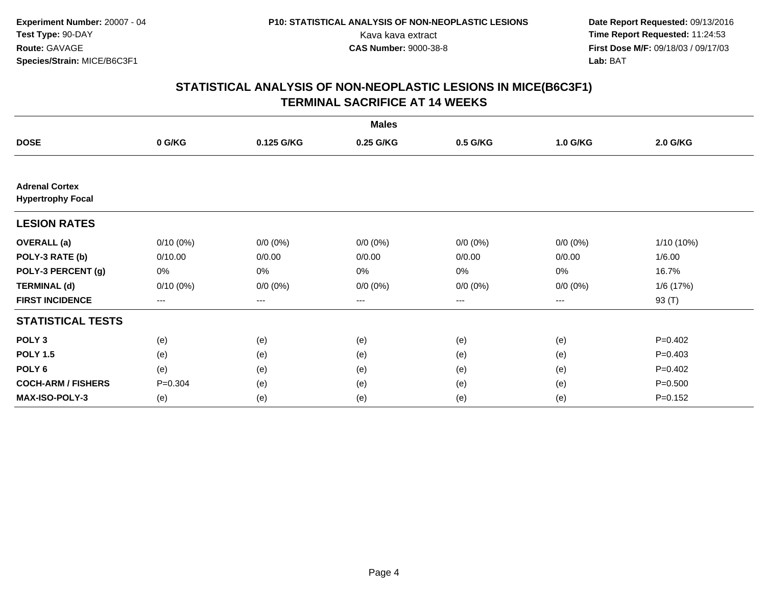|                                                   |             |                        | <b>Males</b> |             |             |             |
|---------------------------------------------------|-------------|------------------------|--------------|-------------|-------------|-------------|
| <b>DOSE</b>                                       | 0 G/KG      | 0.125 G/KG             | 0.25 G/KG    | 0.5 G/KG    | 1.0 G/KG    | 2.0 G/KG    |
|                                                   |             |                        |              |             |             |             |
| <b>Adrenal Cortex</b><br><b>Hypertrophy Focal</b> |             |                        |              |             |             |             |
| <b>LESION RATES</b>                               |             |                        |              |             |             |             |
| <b>OVERALL</b> (a)                                | $0/10(0\%)$ | $0/0 (0\%)$            | $0/0 (0\%)$  | $0/0 (0\%)$ | $0/0 (0\%)$ | 1/10 (10%)  |
| POLY-3 RATE (b)                                   | 0/10.00     | 0/0.00                 | 0/0.00       | 0/0.00      | 0/0.00      | 1/6.00      |
| POLY-3 PERCENT (g)                                | 0%          | 0%                     | 0%           | 0%          | 0%          | 16.7%       |
| <b>TERMINAL (d)</b>                               | $0/10(0\%)$ | $0/0 (0\%)$            | $0/0 (0\%)$  | $0/0 (0\%)$ | $0/0 (0\%)$ | 1/6(17%)    |
| <b>FIRST INCIDENCE</b>                            | ---         | $\qquad \qquad \cdots$ | ---          | $--$        | $---$       | 93 (T)      |
| <b>STATISTICAL TESTS</b>                          |             |                        |              |             |             |             |
| POLY <sub>3</sub>                                 | (e)         | (e)                    | (e)          | (e)         | (e)         | $P=0.402$   |
| <b>POLY 1.5</b>                                   | (e)         | (e)                    | (e)          | (e)         | (e)         | $P=0.403$   |
| POLY 6                                            | (e)         | (e)                    | (e)          | (e)         | (e)         | $P=0.402$   |
| <b>COCH-ARM / FISHERS</b>                         | $P = 0.304$ | (e)                    | (e)          | (e)         | (e)         | $P = 0.500$ |
| <b>MAX-ISO-POLY-3</b>                             | (e)         | (e)                    | (e)          | (e)         | (e)         | $P = 0.152$ |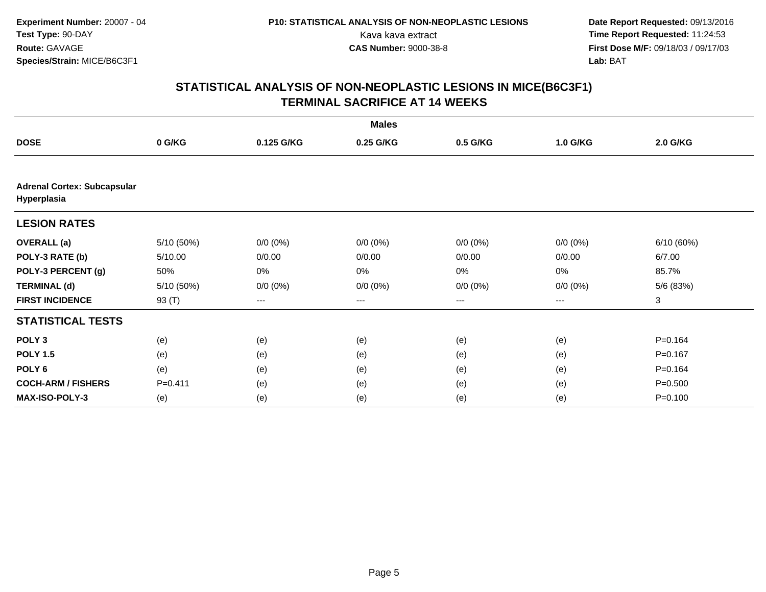|                                                   |             |             | <b>Males</b> |                   |             |             |
|---------------------------------------------------|-------------|-------------|--------------|-------------------|-------------|-------------|
| <b>DOSE</b>                                       | 0 G/KG      | 0.125 G/KG  | 0.25 G/KG    | 0.5 G/KG          | 1.0 G/KG    | 2.0 G/KG    |
|                                                   |             |             |              |                   |             |             |
| <b>Adrenal Cortex: Subcapsular</b><br>Hyperplasia |             |             |              |                   |             |             |
| <b>LESION RATES</b>                               |             |             |              |                   |             |             |
| <b>OVERALL</b> (a)                                | 5/10 (50%)  | $0/0 (0\%)$ | $0/0 (0\%)$  | $0/0 (0\%)$       | $0/0 (0\%)$ | 6/10(60%)   |
| POLY-3 RATE (b)                                   | 5/10.00     | 0/0.00      | 0/0.00       | 0/0.00            | 0/0.00      | 6/7.00      |
| POLY-3 PERCENT (g)                                | 50%         | 0%          | 0%           | 0%                | 0%          | 85.7%       |
| <b>TERMINAL (d)</b>                               | 5/10(50%)   | $0/0 (0\%)$ | $0/0 (0\%)$  | $0/0 (0\%)$       | $0/0 (0\%)$ | 5/6 (83%)   |
| <b>FIRST INCIDENCE</b>                            | 93 (T)      | ---         | ---          | $\qquad \qquad -$ | ---         | 3           |
| <b>STATISTICAL TESTS</b>                          |             |             |              |                   |             |             |
| POLY <sub>3</sub>                                 | (e)         | (e)         | (e)          | (e)               | (e)         | $P = 0.164$ |
| <b>POLY 1.5</b>                                   | (e)         | (e)         | (e)          | (e)               | (e)         | $P=0.167$   |
| POLY <sub>6</sub>                                 | (e)         | (e)         | (e)          | (e)               | (e)         | $P = 0.164$ |
| <b>COCH-ARM / FISHERS</b>                         | $P = 0.411$ | (e)         | (e)          | (e)               | (e)         | $P = 0.500$ |
| <b>MAX-ISO-POLY-3</b>                             | (e)         | (e)         | (e)          | (e)               | (e)         | $P = 0.100$ |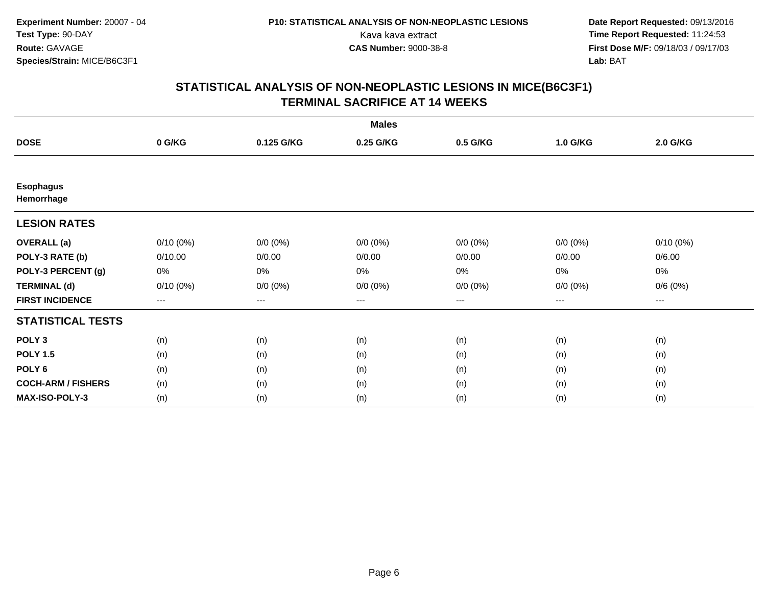|                                |             |                   | <b>Males</b> |             |             |             |
|--------------------------------|-------------|-------------------|--------------|-------------|-------------|-------------|
| <b>DOSE</b>                    | 0 G/KG      | 0.125 G/KG        | 0.25 G/KG    | 0.5 G/KG    | 1.0 G/KG    | 2.0 G/KG    |
|                                |             |                   |              |             |             |             |
| <b>Esophagus</b><br>Hemorrhage |             |                   |              |             |             |             |
| <b>LESION RATES</b>            |             |                   |              |             |             |             |
| <b>OVERALL</b> (a)             | $0/10(0\%)$ | $0/0 (0\%)$       | $0/0 (0\%)$  | $0/0 (0\%)$ | $0/0 (0\%)$ | $0/10(0\%)$ |
| POLY-3 RATE (b)                | 0/10.00     | 0/0.00            | 0/0.00       | 0/0.00      | 0/0.00      | 0/6.00      |
| POLY-3 PERCENT (g)             | 0%          | 0%                | 0%           | 0%          | $0\%$       | 0%          |
| <b>TERMINAL (d)</b>            | $0/10(0\%)$ | $0/0 (0\%)$       | $0/0 (0\%)$  | $0/0 (0\%)$ | $0/0 (0\%)$ | 0/6(0%)     |
| <b>FIRST INCIDENCE</b>         | $--$        | $\qquad \qquad -$ | $---$        | $--$        | ---         | ---         |
| <b>STATISTICAL TESTS</b>       |             |                   |              |             |             |             |
| POLY <sub>3</sub>              | (n)         | (n)               | (n)          | (n)         | (n)         | (n)         |
| <b>POLY 1.5</b>                | (n)         | (n)               | (n)          | (n)         | (n)         | (n)         |
| POLY 6                         | (n)         | (n)               | (n)          | (n)         | (n)         | (n)         |
| <b>COCH-ARM / FISHERS</b>      | (n)         | (n)               | (n)          | (n)         | (n)         | (n)         |
| MAX-ISO-POLY-3                 | (n)         | (n)               | (n)          | (n)         | (n)         | (n)         |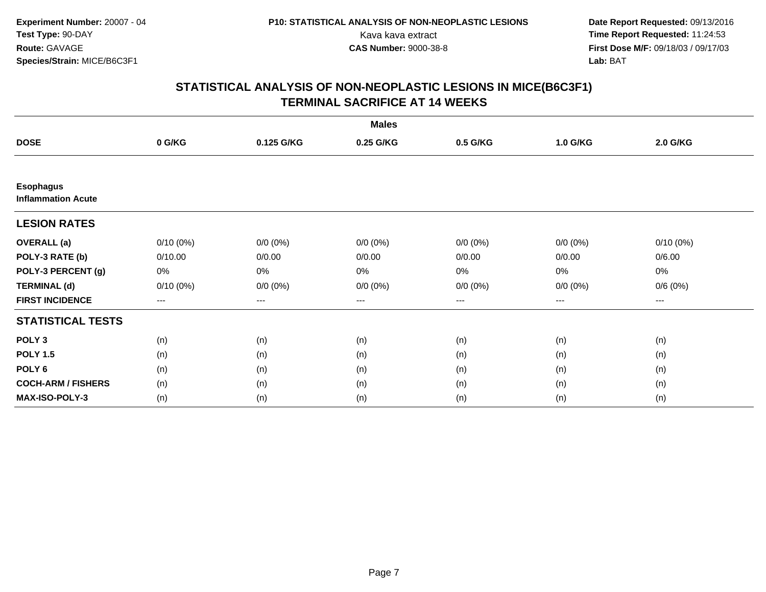|                                               |             |             | <b>Males</b> |             |             |                     |  |
|-----------------------------------------------|-------------|-------------|--------------|-------------|-------------|---------------------|--|
| <b>DOSE</b>                                   | 0 G/KG      | 0.125 G/KG  | 0.25 G/KG    | 0.5 G/KG    | 1.0 G/KG    | 2.0 G/KG            |  |
|                                               |             |             |              |             |             |                     |  |
| <b>Esophagus</b><br><b>Inflammation Acute</b> |             |             |              |             |             |                     |  |
| <b>LESION RATES</b>                           |             |             |              |             |             |                     |  |
| <b>OVERALL</b> (a)                            | $0/10(0\%)$ | $0/0 (0\%)$ | $0/0 (0\%)$  | $0/0 (0\%)$ | $0/0 (0\%)$ | $0/10(0\%)$         |  |
| POLY-3 RATE (b)                               | 0/10.00     | 0/0.00      | 0/0.00       | 0/0.00      | 0/0.00      | 0/6.00              |  |
| POLY-3 PERCENT (g)                            | 0%          | 0%          | 0%           | 0%          | $0\%$       | 0%                  |  |
| <b>TERMINAL (d)</b>                           | $0/10(0\%)$ | $0/0 (0\%)$ | $0/0 (0\%)$  | $0/0 (0\%)$ | $0/0 (0\%)$ | 0/6(0%)             |  |
| <b>FIRST INCIDENCE</b>                        | $---$       | $\cdots$    | ---          | $---$       | $---$       | $\qquad \qquad - -$ |  |
| <b>STATISTICAL TESTS</b>                      |             |             |              |             |             |                     |  |
| POLY <sub>3</sub>                             | (n)         | (n)         | (n)          | (n)         | (n)         | (n)                 |  |
| <b>POLY 1.5</b>                               | (n)         | (n)         | (n)          | (n)         | (n)         | (n)                 |  |
| POLY <sub>6</sub>                             | (n)         | (n)         | (n)          | (n)         | (n)         | (n)                 |  |
| <b>COCH-ARM / FISHERS</b>                     | (n)         | (n)         | (n)          | (n)         | (n)         | (n)                 |  |
| <b>MAX-ISO-POLY-3</b>                         | (n)         | (n)         | (n)          | (n)         | (n)         | (n)                 |  |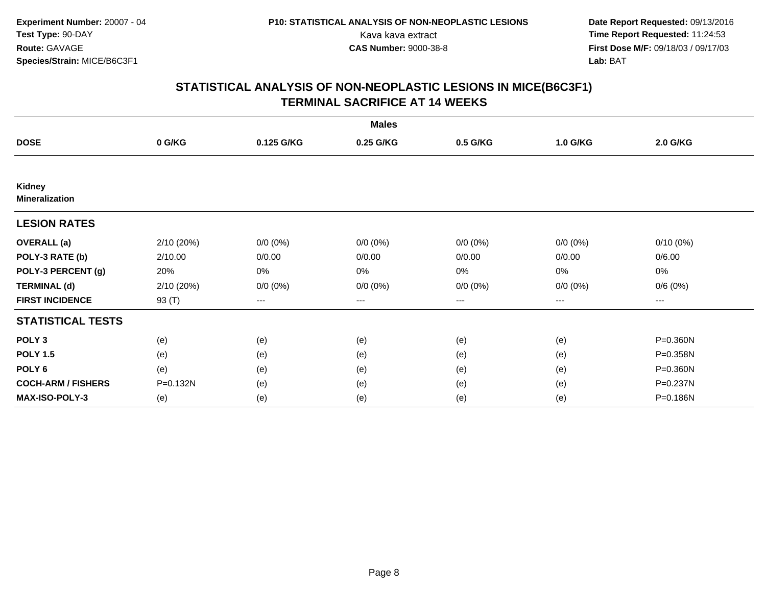|                                        |            |             | <b>Males</b> |             |                        |             |
|----------------------------------------|------------|-------------|--------------|-------------|------------------------|-------------|
| <b>DOSE</b>                            | 0 G/KG     | 0.125 G/KG  | 0.25 G/KG    | 0.5 G/KG    | 1.0 G/KG               | 2.0 G/KG    |
|                                        |            |             |              |             |                        |             |
| <b>Kidney</b><br><b>Mineralization</b> |            |             |              |             |                        |             |
| <b>LESION RATES</b>                    |            |             |              |             |                        |             |
| <b>OVERALL</b> (a)                     | 2/10 (20%) | $0/0 (0\%)$ | $0/0 (0\%)$  | $0/0 (0\%)$ | $0/0 (0\%)$            | $0/10(0\%)$ |
| POLY-3 RATE (b)                        | 2/10.00    | 0/0.00      | 0/0.00       | 0/0.00      | 0/0.00                 | 0/6.00      |
| POLY-3 PERCENT (g)                     | 20%        | 0%          | 0%           | 0%          | $0\%$                  | 0%          |
| <b>TERMINAL (d)</b>                    | 2/10 (20%) | $0/0 (0\%)$ | $0/0 (0\%)$  | $0/0 (0\%)$ | $0/0 (0\%)$            | 0/6(0%)     |
| <b>FIRST INCIDENCE</b>                 | 93 (T)     | $--$        | ---          | $--$        | $\qquad \qquad \cdots$ | ---         |
| <b>STATISTICAL TESTS</b>               |            |             |              |             |                        |             |
| POLY <sub>3</sub>                      | (e)        | (e)         | (e)          | (e)         | (e)                    | P=0.360N    |
| <b>POLY 1.5</b>                        | (e)        | (e)         | (e)          | (e)         | (e)                    | P=0.358N    |
| POLY 6                                 | (e)        | (e)         | (e)          | (e)         | (e)                    | P=0.360N    |
| <b>COCH-ARM / FISHERS</b>              | P=0.132N   | (e)         | (e)          | (e)         | (e)                    | P=0.237N    |
| <b>MAX-ISO-POLY-3</b>                  | (e)        | (e)         | (e)          | (e)         | (e)                    | P=0.186N    |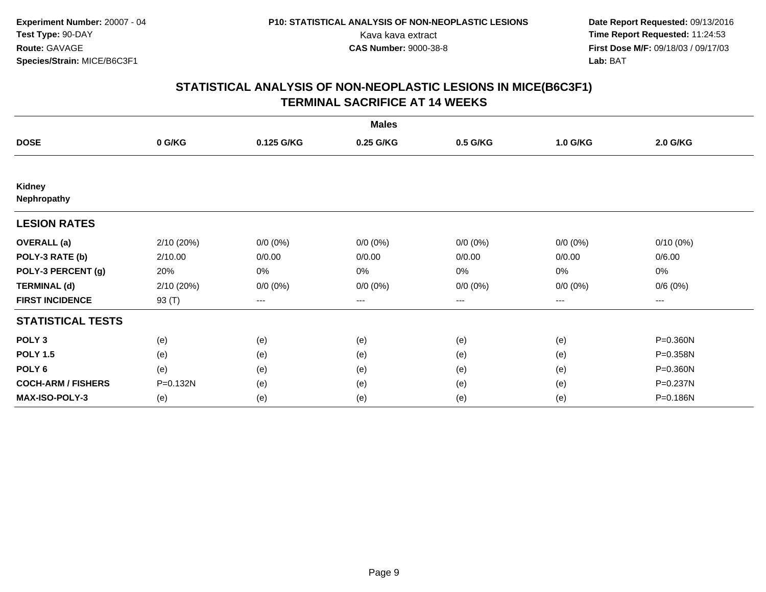|                              |            |             | <b>Males</b> |             |             |             |
|------------------------------|------------|-------------|--------------|-------------|-------------|-------------|
| <b>DOSE</b>                  | 0 G/KG     | 0.125 G/KG  | 0.25 G/KG    | 0.5 G/KG    | 1.0 G/KG    | 2.0 G/KG    |
|                              |            |             |              |             |             |             |
| <b>Kidney</b><br>Nephropathy |            |             |              |             |             |             |
| <b>LESION RATES</b>          |            |             |              |             |             |             |
| <b>OVERALL</b> (a)           | 2/10 (20%) | $0/0 (0\%)$ | $0/0 (0\%)$  | $0/0 (0\%)$ | $0/0 (0\%)$ | $0/10(0\%)$ |
| POLY-3 RATE (b)              | 2/10.00    | 0/0.00      | 0/0.00       | 0/0.00      | 0/0.00      | 0/6.00      |
| POLY-3 PERCENT (g)           | 20%        | 0%          | 0%           | 0%          | $0\%$       | 0%          |
| <b>TERMINAL (d)</b>          | 2/10 (20%) | $0/0 (0\%)$ | $0/0 (0\%)$  | $0/0 (0\%)$ | $0/0 (0\%)$ | 0/6(0%)     |
| <b>FIRST INCIDENCE</b>       | 93 (T)     | $--$        | ---          | ---         | ---         | ---         |
| <b>STATISTICAL TESTS</b>     |            |             |              |             |             |             |
| POLY <sub>3</sub>            | (e)        | (e)         | (e)          | (e)         | (e)         | P=0.360N    |
| <b>POLY 1.5</b>              | (e)        | (e)         | (e)          | (e)         | (e)         | P=0.358N    |
| POLY 6                       | (e)        | (e)         | (e)          | (e)         | (e)         | P=0.360N    |
| <b>COCH-ARM / FISHERS</b>    | P=0.132N   | (e)         | (e)          | (e)         | (e)         | P=0.237N    |
| <b>MAX-ISO-POLY-3</b>        | (e)        | (e)         | (e)          | (e)         | (e)         | P=0.186N    |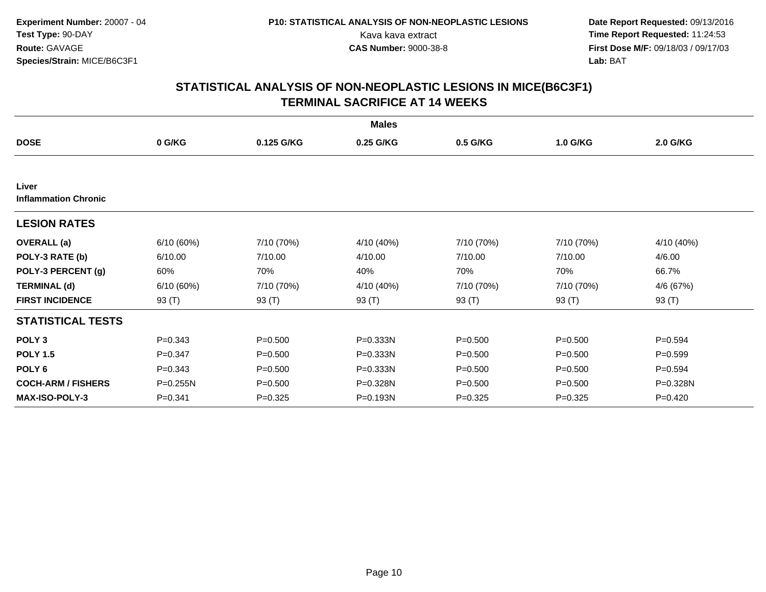|                                      |             |             | <b>Males</b> |             |             |             |
|--------------------------------------|-------------|-------------|--------------|-------------|-------------|-------------|
| <b>DOSE</b>                          | 0 G/KG      | 0.125 G/KG  | 0.25 G/KG    | 0.5 G/KG    | 1.0 G/KG    | 2.0 G/KG    |
|                                      |             |             |              |             |             |             |
| Liver<br><b>Inflammation Chronic</b> |             |             |              |             |             |             |
| <b>LESION RATES</b>                  |             |             |              |             |             |             |
| <b>OVERALL</b> (a)                   | 6/10(60%)   | 7/10 (70%)  | 4/10 (40%)   | 7/10 (70%)  | 7/10 (70%)  | 4/10 (40%)  |
| POLY-3 RATE (b)                      | 6/10.00     | 7/10.00     | 4/10.00      | 7/10.00     | 7/10.00     | 4/6.00      |
| POLY-3 PERCENT (g)                   | 60%         | 70%         | 40%          | 70%         | 70%         | 66.7%       |
| <b>TERMINAL (d)</b>                  | 6/10(60%)   | 7/10 (70%)  | 4/10 (40%)   | 7/10 (70%)  | 7/10 (70%)  | 4/6 (67%)   |
| <b>FIRST INCIDENCE</b>               | 93 $(T)$    | 93 (T)      | 93 $(T)$     | 93 $(T)$    | 93 (T)      | 93 (T)      |
| <b>STATISTICAL TESTS</b>             |             |             |              |             |             |             |
| POLY <sub>3</sub>                    | $P = 0.343$ | $P = 0.500$ | $P = 0.333N$ | $P = 0.500$ | $P = 0.500$ | $P = 0.594$ |
| <b>POLY 1.5</b>                      | $P = 0.347$ | $P = 0.500$ | P=0.333N     | $P = 0.500$ | $P = 0.500$ | $P = 0.599$ |
| POLY <sub>6</sub>                    | $P = 0.343$ | $P = 0.500$ | $P = 0.333N$ | $P = 0.500$ | $P = 0.500$ | $P = 0.594$ |
| <b>COCH-ARM / FISHERS</b>            | P=0.255N    | $P = 0.500$ | P=0.328N     | $P = 0.500$ | $P = 0.500$ | P=0.328N    |
| <b>MAX-ISO-POLY-3</b>                | $P = 0.341$ | $P = 0.325$ | P=0.193N     | $P = 0.325$ | $P=0.325$   | $P=0.420$   |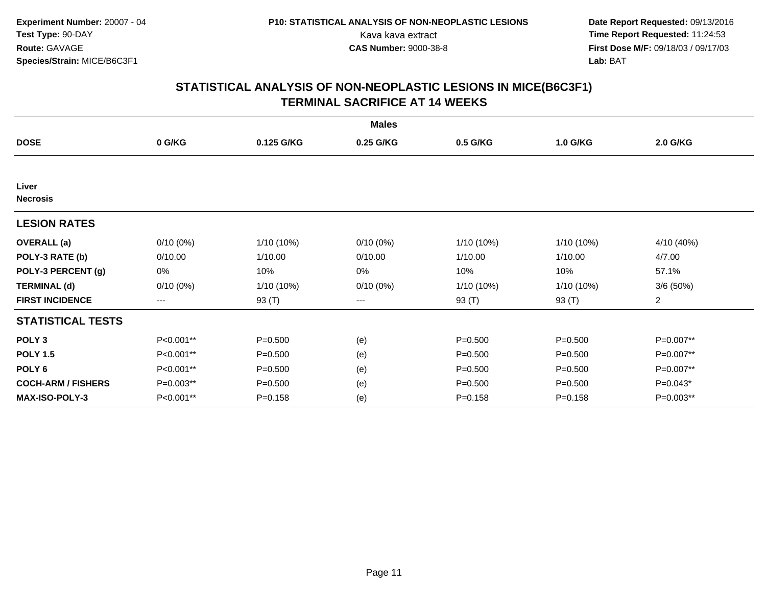|                           |             |              | <b>Males</b> |             |              |                |
|---------------------------|-------------|--------------|--------------|-------------|--------------|----------------|
| <b>DOSE</b>               | 0 G/KG      | 0.125 G/KG   | 0.25 G/KG    | 0.5 G/KG    | 1.0 G/KG     | 2.0 G/KG       |
|                           |             |              |              |             |              |                |
| Liver<br><b>Necrosis</b>  |             |              |              |             |              |                |
| <b>LESION RATES</b>       |             |              |              |             |              |                |
| <b>OVERALL</b> (a)        | $0/10(0\%)$ | 1/10 (10%)   | $0/10(0\%)$  | 1/10 (10%)  | 1/10 (10%)   | 4/10 (40%)     |
| POLY-3 RATE (b)           | 0/10.00     | 1/10.00      | 0/10.00      | 1/10.00     | 1/10.00      | 4/7.00         |
| POLY-3 PERCENT (g)        | 0%          | 10%          | $0\%$        | 10%         | 10%          | 57.1%          |
| <b>TERMINAL (d)</b>       | $0/10(0\%)$ | $1/10(10\%)$ | $0/10(0\%)$  | 1/10 (10%)  | $1/10(10\%)$ | 3/6(50%)       |
| <b>FIRST INCIDENCE</b>    | ---         | 93 (T)       | ---          | 93 (T)      | 93 (T)       | $\overline{2}$ |
| <b>STATISTICAL TESTS</b>  |             |              |              |             |              |                |
| POLY <sub>3</sub>         | P<0.001**   | $P = 0.500$  | (e)          | $P = 0.500$ | $P = 0.500$  | P=0.007**      |
| <b>POLY 1.5</b>           | P<0.001**   | $P = 0.500$  | (e)          | $P = 0.500$ | $P = 0.500$  | P=0.007**      |
| POLY 6                    | P<0.001**   | $P = 0.500$  | (e)          | $P = 0.500$ | $P = 0.500$  | P=0.007**      |
| <b>COCH-ARM / FISHERS</b> | P=0.003**   | $P = 0.500$  | (e)          | $P = 0.500$ | $P = 0.500$  | $P=0.043*$     |
| <b>MAX-ISO-POLY-3</b>     | P<0.001**   | $P = 0.158$  | (e)          | $P = 0.158$ | $P = 0.158$  | P=0.003**      |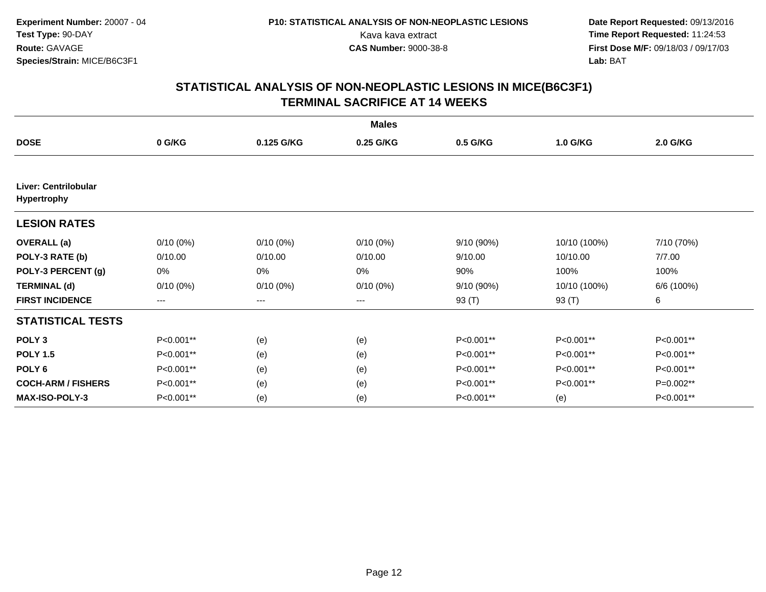|                                            |             |                        | <b>Males</b> |            |              |             |
|--------------------------------------------|-------------|------------------------|--------------|------------|--------------|-------------|
| <b>DOSE</b>                                | 0 G/KG      | 0.125 G/KG             | 0.25 G/KG    | 0.5 G/KG   | 1.0 G/KG     | 2.0 G/KG    |
|                                            |             |                        |              |            |              |             |
| Liver: Centrilobular<br><b>Hypertrophy</b> |             |                        |              |            |              |             |
| <b>LESION RATES</b>                        |             |                        |              |            |              |             |
| <b>OVERALL</b> (a)                         | $0/10(0\%)$ | $0/10(0\%)$            | $0/10(0\%)$  | 9/10 (90%) | 10/10 (100%) | 7/10 (70%)  |
| POLY-3 RATE (b)                            | 0/10.00     | 0/10.00                | 0/10.00      | 9/10.00    | 10/10.00     | 7/7.00      |
| POLY-3 PERCENT (g)                         | 0%          | 0%                     | 0%           | 90%        | 100%         | 100%        |
| <b>TERMINAL (d)</b>                        | $0/10(0\%)$ | $0/10(0\%)$            | $0/10(0\%)$  | 9/10 (90%) | 10/10 (100%) | 6/6 (100%)  |
| <b>FIRST INCIDENCE</b>                     | ---         | $\qquad \qquad \cdots$ | ---          | 93 (T)     | 93 (T)       | 6           |
| <b>STATISTICAL TESTS</b>                   |             |                        |              |            |              |             |
| POLY <sub>3</sub>                          | P<0.001**   | (e)                    | (e)          | P<0.001**  | P<0.001**    | P<0.001**   |
| <b>POLY 1.5</b>                            | P<0.001**   | (e)                    | (e)          | P<0.001**  | P<0.001**    | P<0.001**   |
| POLY <sub>6</sub>                          | P<0.001**   | (e)                    | (e)          | P<0.001**  | P<0.001**    | P<0.001**   |
| <b>COCH-ARM / FISHERS</b>                  | P<0.001**   | (e)                    | (e)          | P<0.001**  | P<0.001**    | $P=0.002**$ |
| <b>MAX-ISO-POLY-3</b>                      | P<0.001**   | (e)                    | (e)          | P<0.001**  | (e)          | P<0.001**   |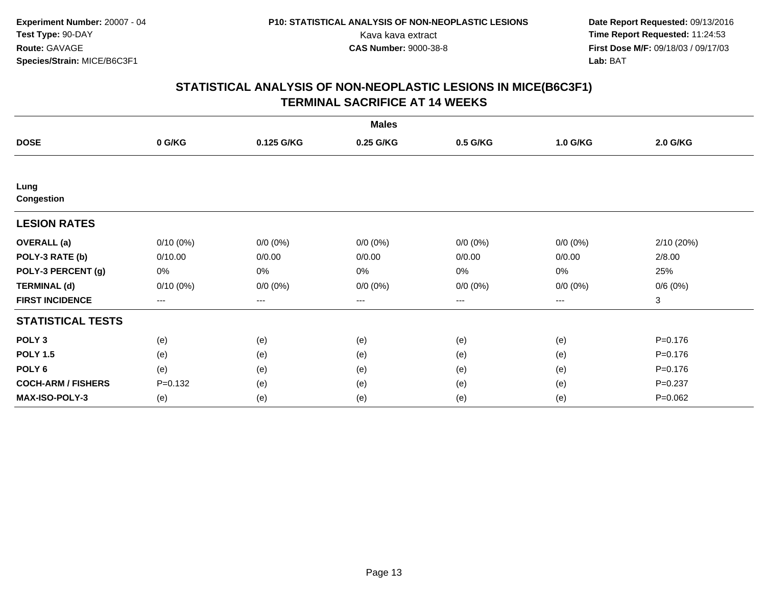|                           |             |             | <b>Males</b> |             |             |             |
|---------------------------|-------------|-------------|--------------|-------------|-------------|-------------|
| <b>DOSE</b>               | 0 G/KG      | 0.125 G/KG  | 0.25 G/KG    | 0.5 G/KG    | 1.0 G/KG    | 2.0 G/KG    |
|                           |             |             |              |             |             |             |
| Lung<br><b>Congestion</b> |             |             |              |             |             |             |
| <b>LESION RATES</b>       |             |             |              |             |             |             |
| <b>OVERALL</b> (a)        | $0/10(0\%)$ | $0/0 (0\%)$ | $0/0 (0\%)$  | $0/0 (0\%)$ | $0/0 (0\%)$ | 2/10 (20%)  |
| POLY-3 RATE (b)           | 0/10.00     | 0/0.00      | 0/0.00       | 0/0.00      | 0/0.00      | 2/8.00      |
| POLY-3 PERCENT (g)        | 0%          | 0%          | 0%           | 0%          | $0\%$       | 25%         |
| <b>TERMINAL (d)</b>       | 0/10(0%)    | $0/0 (0\%)$ | $0/0 (0\%)$  | $0/0 (0\%)$ | $0/0 (0\%)$ | 0/6(0%)     |
| <b>FIRST INCIDENCE</b>    | ---         | $---$       | ---          | $--$        | $---$       | 3           |
| <b>STATISTICAL TESTS</b>  |             |             |              |             |             |             |
| POLY <sub>3</sub>         | (e)         | (e)         | (e)          | (e)         | (e)         | $P = 0.176$ |
| <b>POLY 1.5</b>           | (e)         | (e)         | (e)          | (e)         | (e)         | $P = 0.176$ |
| POLY 6                    | (e)         | (e)         | (e)          | (e)         | (e)         | $P = 0.176$ |
| <b>COCH-ARM / FISHERS</b> | $P = 0.132$ | (e)         | (e)          | (e)         | (e)         | $P = 0.237$ |
| MAX-ISO-POLY-3            | (e)         | (e)         | (e)          | (e)         | (e)         | $P=0.062$   |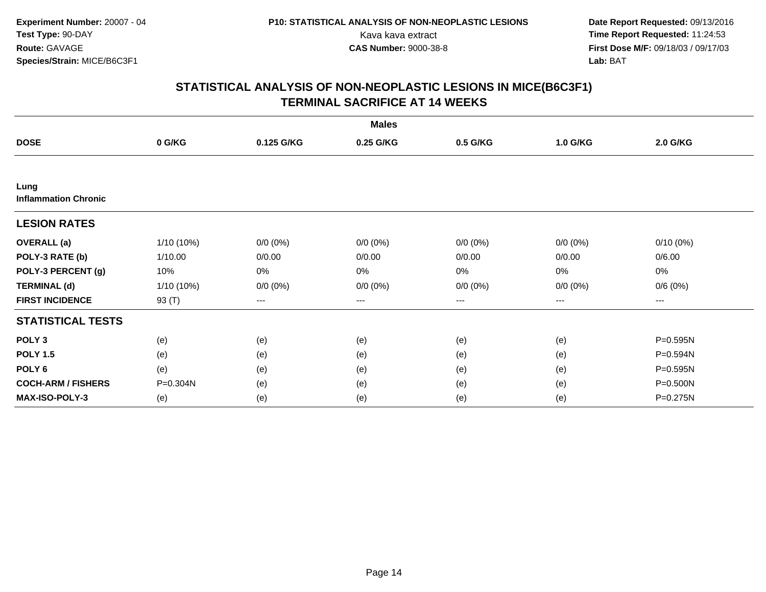|                                     |            |             | <b>Males</b> |             |             |             |
|-------------------------------------|------------|-------------|--------------|-------------|-------------|-------------|
| <b>DOSE</b>                         | 0 G/KG     | 0.125 G/KG  | 0.25 G/KG    | 0.5 G/KG    | 1.0 G/KG    | 2.0 G/KG    |
|                                     |            |             |              |             |             |             |
| Lung<br><b>Inflammation Chronic</b> |            |             |              |             |             |             |
| <b>LESION RATES</b>                 |            |             |              |             |             |             |
| <b>OVERALL</b> (a)                  | 1/10 (10%) | $0/0 (0\%)$ | $0/0 (0\%)$  | $0/0 (0\%)$ | $0/0 (0\%)$ | $0/10(0\%)$ |
| POLY-3 RATE (b)                     | 1/10.00    | 0/0.00      | 0/0.00       | 0/0.00      | 0/0.00      | 0/6.00      |
| POLY-3 PERCENT (g)                  | 10%        | 0%          | 0%           | 0%          | $0\%$       | 0%          |
| <b>TERMINAL (d)</b>                 | 1/10 (10%) | $0/0 (0\%)$ | $0/0 (0\%)$  | $0/0 (0\%)$ | $0/0 (0\%)$ | 0/6(0%)     |
| <b>FIRST INCIDENCE</b>              | 93 (T)     | $--$        | ---          | ---         | $---$       | ---         |
| <b>STATISTICAL TESTS</b>            |            |             |              |             |             |             |
| POLY <sub>3</sub>                   | (e)        | (e)         | (e)          | (e)         | (e)         | P=0.595N    |
| <b>POLY 1.5</b>                     | (e)        | (e)         | (e)          | (e)         | (e)         | P=0.594N    |
| POLY 6                              | (e)        | (e)         | (e)          | (e)         | (e)         | P=0.595N    |
| <b>COCH-ARM / FISHERS</b>           | P=0.304N   | (e)         | (e)          | (e)         | (e)         | P=0.500N    |
| <b>MAX-ISO-POLY-3</b>               | (e)        | (e)         | (e)          | (e)         | (e)         | P=0.275N    |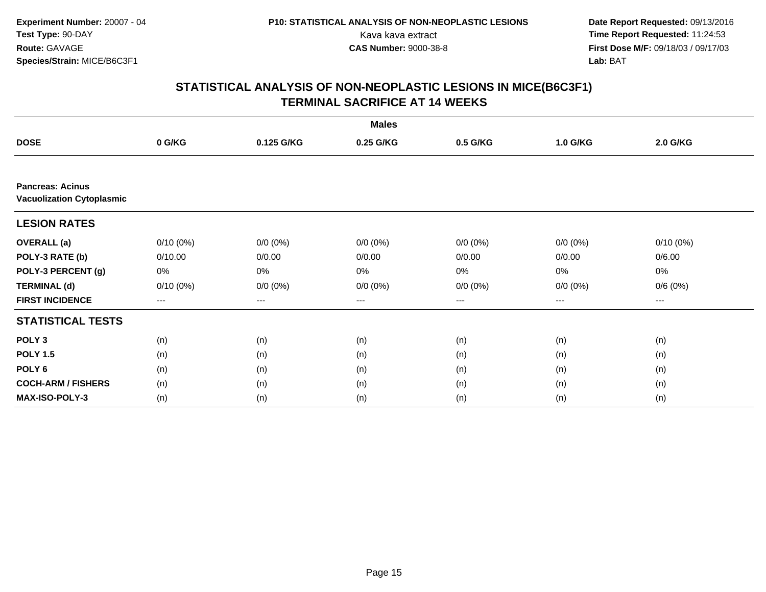|                                                             |             |             | <b>Males</b> |                        |             |             |
|-------------------------------------------------------------|-------------|-------------|--------------|------------------------|-------------|-------------|
| <b>DOSE</b>                                                 | 0 G/KG      | 0.125 G/KG  | 0.25 G/KG    | 0.5 G/KG               | 1.0 G/KG    | 2.0 G/KG    |
|                                                             |             |             |              |                        |             |             |
| <b>Pancreas: Acinus</b><br><b>Vacuolization Cytoplasmic</b> |             |             |              |                        |             |             |
| <b>LESION RATES</b>                                         |             |             |              |                        |             |             |
| <b>OVERALL</b> (a)                                          | $0/10(0\%)$ | $0/0 (0\%)$ | $0/0 (0\%)$  | $0/0 (0\%)$            | $0/0 (0\%)$ | $0/10(0\%)$ |
| POLY-3 RATE (b)                                             | 0/10.00     | 0/0.00      | 0/0.00       | 0/0.00                 | 0/0.00      | 0/6.00      |
| POLY-3 PERCENT (g)                                          | 0%          | 0%          | 0%           | 0%                     | 0%          | 0%          |
| <b>TERMINAL (d)</b>                                         | $0/10(0\%)$ | $0/0 (0\%)$ | $0/0 (0\%)$  | $0/0 (0\%)$            | $0/0 (0\%)$ | 0/6(0%)     |
| <b>FIRST INCIDENCE</b>                                      | $--$        | ---         | ---          | $\qquad \qquad \cdots$ | ---         | ---         |
| <b>STATISTICAL TESTS</b>                                    |             |             |              |                        |             |             |
| POLY <sub>3</sub>                                           | (n)         | (n)         | (n)          | (n)                    | (n)         | (n)         |
| <b>POLY 1.5</b>                                             | (n)         | (n)         | (n)          | (n)                    | (n)         | (n)         |
| POLY <sub>6</sub>                                           | (n)         | (n)         | (n)          | (n)                    | (n)         | (n)         |
| <b>COCH-ARM / FISHERS</b>                                   | (n)         | (n)         | (n)          | (n)                    | (n)         | (n)         |
| <b>MAX-ISO-POLY-3</b>                                       | (n)         | (n)         | (n)          | (n)                    | (n)         | (n)         |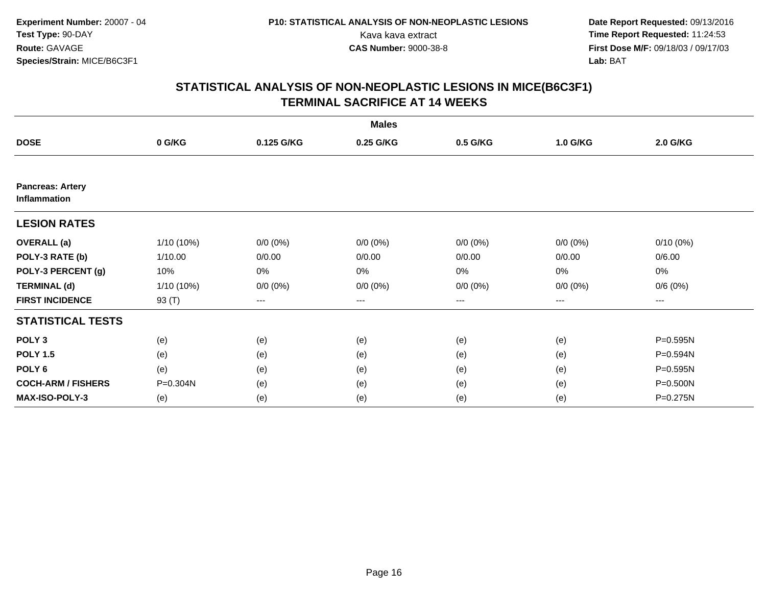|                                         |            |             | <b>Males</b> |             |             |             |
|-----------------------------------------|------------|-------------|--------------|-------------|-------------|-------------|
| <b>DOSE</b>                             | 0 G/KG     | 0.125 G/KG  | 0.25 G/KG    | 0.5 G/KG    | 1.0 G/KG    | 2.0 G/KG    |
|                                         |            |             |              |             |             |             |
| <b>Pancreas: Artery</b><br>Inflammation |            |             |              |             |             |             |
| <b>LESION RATES</b>                     |            |             |              |             |             |             |
| <b>OVERALL</b> (a)                      | 1/10 (10%) | $0/0 (0\%)$ | $0/0 (0\%)$  | $0/0 (0\%)$ | $0/0 (0\%)$ | $0/10(0\%)$ |
| POLY-3 RATE (b)                         | 1/10.00    | 0/0.00      | 0/0.00       | 0/0.00      | 0/0.00      | 0/6.00      |
| POLY-3 PERCENT (g)                      | 10%        | 0%          | 0%           | 0%          | $0\%$       | 0%          |
| <b>TERMINAL (d)</b>                     | 1/10 (10%) | $0/0 (0\%)$ | $0/0 (0\%)$  | $0/0 (0\%)$ | $0/0 (0\%)$ | 0/6(0%)     |
| <b>FIRST INCIDENCE</b>                  | 93 (T)     | $--$        | ---          | ---         | $---$       | ---         |
| <b>STATISTICAL TESTS</b>                |            |             |              |             |             |             |
| POLY <sub>3</sub>                       | (e)        | (e)         | (e)          | (e)         | (e)         | P=0.595N    |
| <b>POLY 1.5</b>                         | (e)        | (e)         | (e)          | (e)         | (e)         | P=0.594N    |
| POLY 6                                  | (e)        | (e)         | (e)          | (e)         | (e)         | P=0.595N    |
| <b>COCH-ARM / FISHERS</b>               | P=0.304N   | (e)         | (e)          | (e)         | (e)         | P=0.500N    |
| <b>MAX-ISO-POLY-3</b>                   | (e)        | (e)         | (e)          | (e)         | (e)         | P=0.275N    |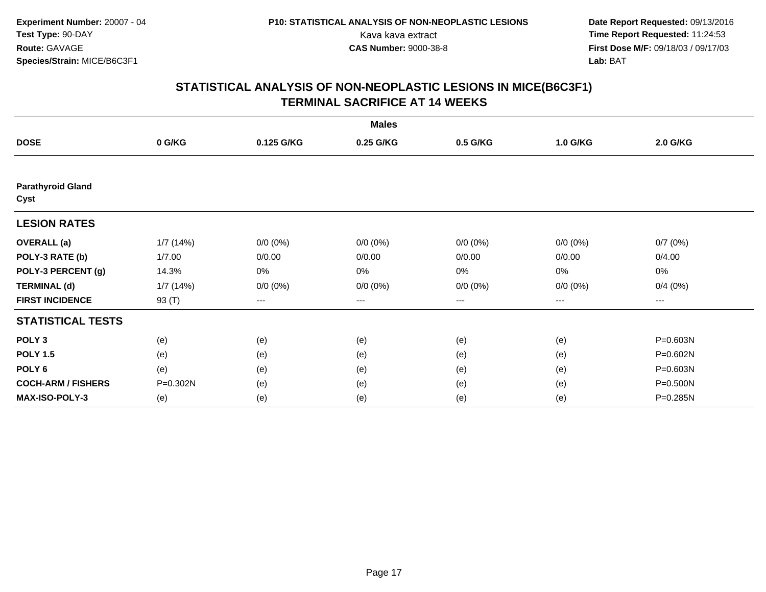|                                  |          |                   | <b>Males</b> |             |             |          |
|----------------------------------|----------|-------------------|--------------|-------------|-------------|----------|
| <b>DOSE</b>                      | 0 G/KG   | 0.125 G/KG        | 0.25 G/KG    | 0.5 G/KG    | 1.0 G/KG    | 2.0 G/KG |
|                                  |          |                   |              |             |             |          |
| <b>Parathyroid Gland</b><br>Cyst |          |                   |              |             |             |          |
| <b>LESION RATES</b>              |          |                   |              |             |             |          |
| <b>OVERALL</b> (a)               | 1/7(14%) | $0/0 (0\%)$       | $0/0 (0\%)$  | $0/0 (0\%)$ | $0/0 (0\%)$ | 0/7(0%)  |
| POLY-3 RATE (b)                  | 1/7.00   | 0/0.00            | 0/0.00       | 0/0.00      | 0/0.00      | 0/4.00   |
| POLY-3 PERCENT (g)               | 14.3%    | $0\%$             | 0%           | 0%          | 0%          | 0%       |
| <b>TERMINAL (d)</b>              | 1/7(14%) | $0/0 (0\%)$       | $0/0 (0\%)$  | $0/0 (0\%)$ | $0/0 (0\%)$ | 0/4(0%)  |
| <b>FIRST INCIDENCE</b>           | 93 (T)   | $\qquad \qquad -$ | $---$        | ---         | $---$       | ---      |
| <b>STATISTICAL TESTS</b>         |          |                   |              |             |             |          |
| POLY <sub>3</sub>                | (e)      | (e)               | (e)          | (e)         | (e)         | P=0.603N |
| <b>POLY 1.5</b>                  | (e)      | (e)               | (e)          | (e)         | (e)         | P=0.602N |
| POLY <sub>6</sub>                | (e)      | (e)               | (e)          | (e)         | (e)         | P=0.603N |
| <b>COCH-ARM / FISHERS</b>        | P=0.302N | (e)               | (e)          | (e)         | (e)         | P=0.500N |
| <b>MAX-ISO-POLY-3</b>            | (e)      | (e)               | (e)          | (e)         | (e)         | P=0.285N |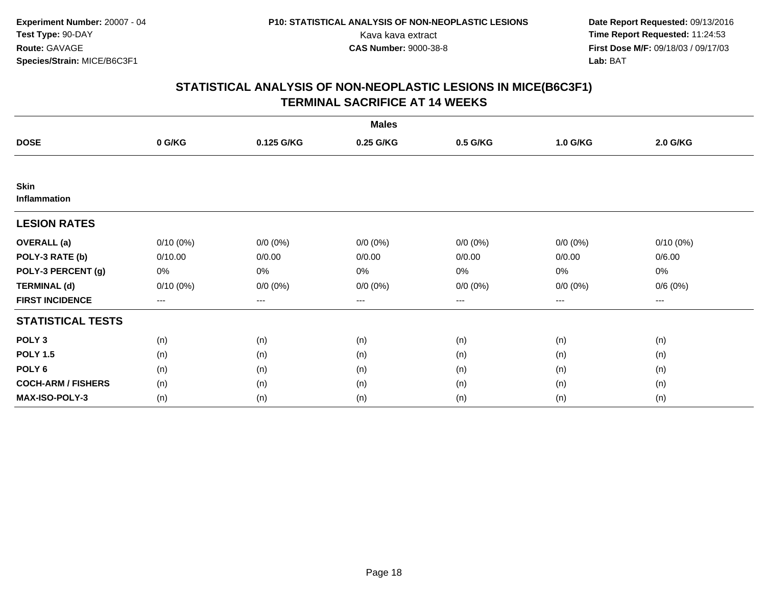|                             |             |             | <b>Males</b> |             |             |                     |  |
|-----------------------------|-------------|-------------|--------------|-------------|-------------|---------------------|--|
| <b>DOSE</b>                 | 0 G/KG      | 0.125 G/KG  | 0.25 G/KG    | 0.5 G/KG    | 1.0 G/KG    | 2.0 G/KG            |  |
|                             |             |             |              |             |             |                     |  |
| <b>Skin</b><br>Inflammation |             |             |              |             |             |                     |  |
| <b>LESION RATES</b>         |             |             |              |             |             |                     |  |
| <b>OVERALL</b> (a)          | $0/10(0\%)$ | $0/0 (0\%)$ | $0/0 (0\%)$  | $0/0 (0\%)$ | $0/0 (0\%)$ | $0/10(0\%)$         |  |
| POLY-3 RATE (b)             | 0/10.00     | 0/0.00      | 0/0.00       | 0/0.00      | 0/0.00      | 0/6.00              |  |
| POLY-3 PERCENT (g)          | 0%          | 0%          | 0%           | 0%          | $0\%$       | 0%                  |  |
| <b>TERMINAL (d)</b>         | $0/10(0\%)$ | $0/0 (0\%)$ | $0/0 (0\%)$  | $0/0 (0\%)$ | $0/0 (0\%)$ | 0/6(0%)             |  |
| <b>FIRST INCIDENCE</b>      | ---         | $\cdots$    | ---          | $--$        | ---         | $\qquad \qquad - -$ |  |
| <b>STATISTICAL TESTS</b>    |             |             |              |             |             |                     |  |
| POLY <sub>3</sub>           | (n)         | (n)         | (n)          | (n)         | (n)         | (n)                 |  |
| <b>POLY 1.5</b>             | (n)         | (n)         | (n)          | (n)         | (n)         | (n)                 |  |
| POLY <sub>6</sub>           | (n)         | (n)         | (n)          | (n)         | (n)         | (n)                 |  |
| <b>COCH-ARM / FISHERS</b>   | (n)         | (n)         | (n)          | (n)         | (n)         | (n)                 |  |
| <b>MAX-ISO-POLY-3</b>       | (n)         | (n)         | (n)          | (n)         | (n)         | (n)                 |  |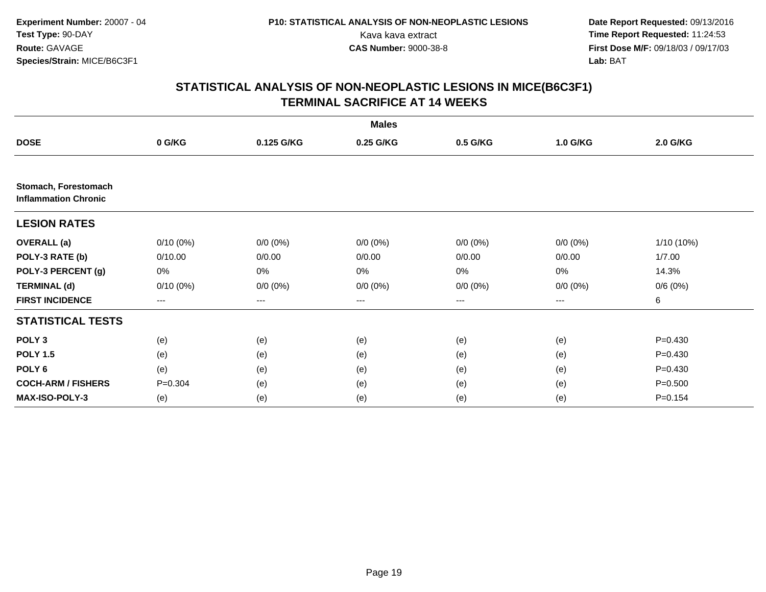|                                                     |             |             | <b>Males</b> |                        |             |             |
|-----------------------------------------------------|-------------|-------------|--------------|------------------------|-------------|-------------|
| <b>DOSE</b>                                         | 0 G/KG      | 0.125 G/KG  | 0.25 G/KG    | 0.5 G/KG               | 1.0 G/KG    | 2.0 G/KG    |
|                                                     |             |             |              |                        |             |             |
| Stomach, Forestomach<br><b>Inflammation Chronic</b> |             |             |              |                        |             |             |
| <b>LESION RATES</b>                                 |             |             |              |                        |             |             |
| <b>OVERALL</b> (a)                                  | $0/10(0\%)$ | $0/0 (0\%)$ | $0/0 (0\%)$  | $0/0 (0\%)$            | $0/0 (0\%)$ | 1/10 (10%)  |
| POLY-3 RATE (b)                                     | 0/10.00     | 0/0.00      | 0/0.00       | 0/0.00                 | 0/0.00      | 1/7.00      |
| POLY-3 PERCENT (g)                                  | 0%          | 0%          | 0%           | 0%                     | 0%          | 14.3%       |
| <b>TERMINAL (d)</b>                                 | $0/10(0\%)$ | $0/0 (0\%)$ | $0/0 (0\%)$  | $0/0 (0\%)$            | $0/0 (0\%)$ | 0/6(0%)     |
| <b>FIRST INCIDENCE</b>                              | ---         | ---         | ---          | $\qquad \qquad \cdots$ | ---         | 6           |
| <b>STATISTICAL TESTS</b>                            |             |             |              |                        |             |             |
| POLY <sub>3</sub>                                   | (e)         | (e)         | (e)          | (e)                    | (e)         | $P = 0.430$ |
| <b>POLY 1.5</b>                                     | (e)         | (e)         | (e)          | (e)                    | (e)         | $P = 0.430$ |
| POLY <sub>6</sub>                                   | (e)         | (e)         | (e)          | (e)                    | (e)         | $P = 0.430$ |
| <b>COCH-ARM / FISHERS</b>                           | $P = 0.304$ | (e)         | (e)          | (e)                    | (e)         | $P = 0.500$ |
| <b>MAX-ISO-POLY-3</b>                               | (e)         | (e)         | (e)          | (e)                    | (e)         | $P = 0.154$ |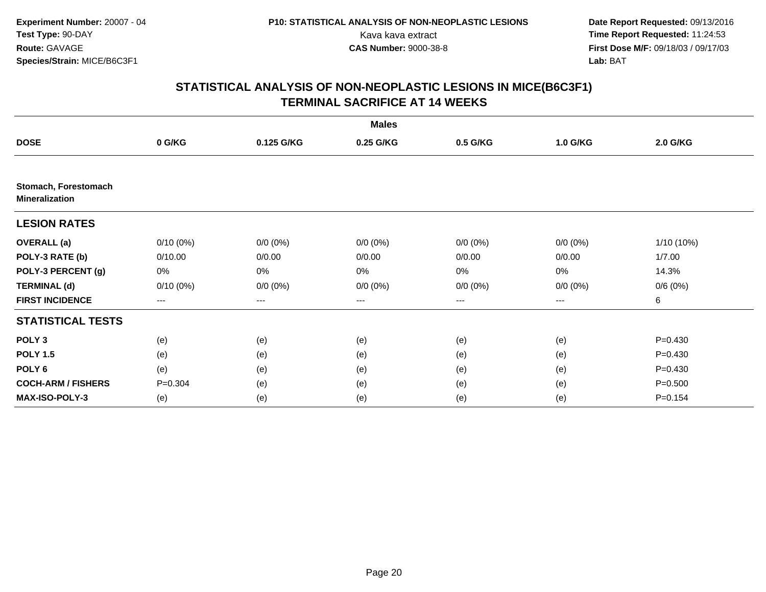|                                               |             |             | <b>Males</b> |                        |             |             |
|-----------------------------------------------|-------------|-------------|--------------|------------------------|-------------|-------------|
| <b>DOSE</b>                                   | 0 G/KG      | 0.125 G/KG  | 0.25 G/KG    | 0.5 G/KG               | 1.0 G/KG    | 2.0 G/KG    |
|                                               |             |             |              |                        |             |             |
| Stomach, Forestomach<br><b>Mineralization</b> |             |             |              |                        |             |             |
| <b>LESION RATES</b>                           |             |             |              |                        |             |             |
| <b>OVERALL</b> (a)                            | $0/10(0\%)$ | $0/0 (0\%)$ | $0/0 (0\%)$  | $0/0 (0\%)$            | $0/0 (0\%)$ | 1/10 (10%)  |
| POLY-3 RATE (b)                               | 0/10.00     | 0/0.00      | 0/0.00       | 0/0.00                 | 0/0.00      | 1/7.00      |
| POLY-3 PERCENT (g)                            | 0%          | 0%          | 0%           | 0%                     | 0%          | 14.3%       |
| <b>TERMINAL (d)</b>                           | $0/10(0\%)$ | $0/0 (0\%)$ | $0/0 (0\%)$  | $0/0 (0\%)$            | $0/0 (0\%)$ | 0/6(0%)     |
| <b>FIRST INCIDENCE</b>                        | $---$       | ---         | ---          | $\qquad \qquad \cdots$ | ---         | 6           |
| <b>STATISTICAL TESTS</b>                      |             |             |              |                        |             |             |
| POLY <sub>3</sub>                             | (e)         | (e)         | (e)          | (e)                    | (e)         | $P = 0.430$ |
| <b>POLY 1.5</b>                               | (e)         | (e)         | (e)          | (e)                    | (e)         | $P = 0.430$ |
| POLY <sub>6</sub>                             | (e)         | (e)         | (e)          | (e)                    | (e)         | $P=0.430$   |
| <b>COCH-ARM / FISHERS</b>                     | $P = 0.304$ | (e)         | (e)          | (e)                    | (e)         | $P = 0.500$ |
| <b>MAX-ISO-POLY-3</b>                         | (e)         | (e)         | (e)          | (e)                    | (e)         | $P = 0.154$ |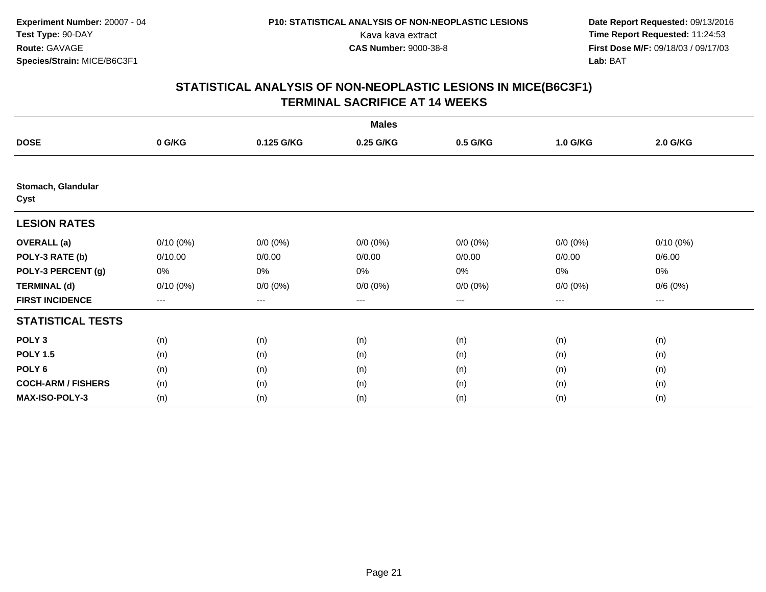|                            |             |             | <b>Males</b> |             |             |             |  |
|----------------------------|-------------|-------------|--------------|-------------|-------------|-------------|--|
| <b>DOSE</b>                | 0 G/KG      | 0.125 G/KG  | 0.25 G/KG    | 0.5 G/KG    | 1.0 G/KG    | 2.0 G/KG    |  |
|                            |             |             |              |             |             |             |  |
| Stomach, Glandular<br>Cyst |             |             |              |             |             |             |  |
| <b>LESION RATES</b>        |             |             |              |             |             |             |  |
| <b>OVERALL</b> (a)         | $0/10(0\%)$ | $0/0 (0\%)$ | $0/0 (0\%)$  | $0/0 (0\%)$ | $0/0 (0\%)$ | $0/10(0\%)$ |  |
| POLY-3 RATE (b)            | 0/10.00     | 0/0.00      | 0/0.00       | 0/0.00      | 0/0.00      | 0/6.00      |  |
| POLY-3 PERCENT (g)         | 0%          | 0%          | 0%           | 0%          | $0\%$       | 0%          |  |
| <b>TERMINAL (d)</b>        | 0/10(0%)    | $0/0 (0\%)$ | $0/0 (0\%)$  | $0/0 (0\%)$ | $0/0 (0\%)$ | 0/6(0%)     |  |
| <b>FIRST INCIDENCE</b>     | ---         | $--$        | ---          | $--$        | $---$       | ---         |  |
| <b>STATISTICAL TESTS</b>   |             |             |              |             |             |             |  |
| POLY <sub>3</sub>          | (n)         | (n)         | (n)          | (n)         | (n)         | (n)         |  |
| <b>POLY 1.5</b>            | (n)         | (n)         | (n)          | (n)         | (n)         | (n)         |  |
| POLY 6                     | (n)         | (n)         | (n)          | (n)         | (n)         | (n)         |  |
| <b>COCH-ARM / FISHERS</b>  | (n)         | (n)         | (n)          | (n)         | (n)         | (n)         |  |
| MAX-ISO-POLY-3             | (n)         | (n)         | (n)          | (n)         | (n)         | (n)         |  |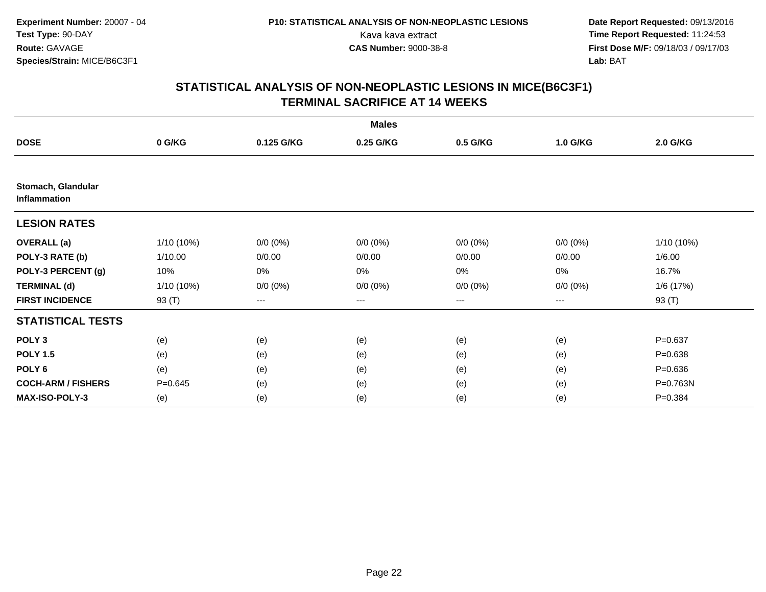|                                    |              |             | <b>Males</b> |             |             |             |
|------------------------------------|--------------|-------------|--------------|-------------|-------------|-------------|
| <b>DOSE</b>                        | 0 G/KG       | 0.125 G/KG  | 0.25 G/KG    | 0.5 G/KG    | 1.0 G/KG    | 2.0 G/KG    |
|                                    |              |             |              |             |             |             |
| Stomach, Glandular<br>Inflammation |              |             |              |             |             |             |
| <b>LESION RATES</b>                |              |             |              |             |             |             |
| <b>OVERALL</b> (a)                 | 1/10 (10%)   | $0/0 (0\%)$ | $0/0 (0\%)$  | $0/0 (0\%)$ | $0/0 (0\%)$ | 1/10 (10%)  |
| POLY-3 RATE (b)                    | 1/10.00      | 0/0.00      | 0/0.00       | 0/0.00      | 0/0.00      | 1/6.00      |
| POLY-3 PERCENT (g)                 | 10%          | 0%          | 0%           | 0%          | $0\%$       | 16.7%       |
| <b>TERMINAL (d)</b>                | $1/10(10\%)$ | $0/0 (0\%)$ | $0/0 (0\%)$  | $0/0 (0\%)$ | $0/0 (0\%)$ | 1/6 (17%)   |
| <b>FIRST INCIDENCE</b>             | 93 (T)       | ---         | ---          | $--$        | ---         | 93 (T)      |
| <b>STATISTICAL TESTS</b>           |              |             |              |             |             |             |
| POLY <sub>3</sub>                  | (e)          | (e)         | (e)          | (e)         | (e)         | $P = 0.637$ |
| <b>POLY 1.5</b>                    | (e)          | (e)         | (e)          | (e)         | (e)         | $P = 0.638$ |
| POLY <sub>6</sub>                  | (e)          | (e)         | (e)          | (e)         | (e)         | $P = 0.636$ |
| <b>COCH-ARM / FISHERS</b>          | $P = 0.645$  | (e)         | (e)          | (e)         | (e)         | P=0.763N    |
| <b>MAX-ISO-POLY-3</b>              | (e)          | (e)         | (e)          | (e)         | (e)         | $P = 0.384$ |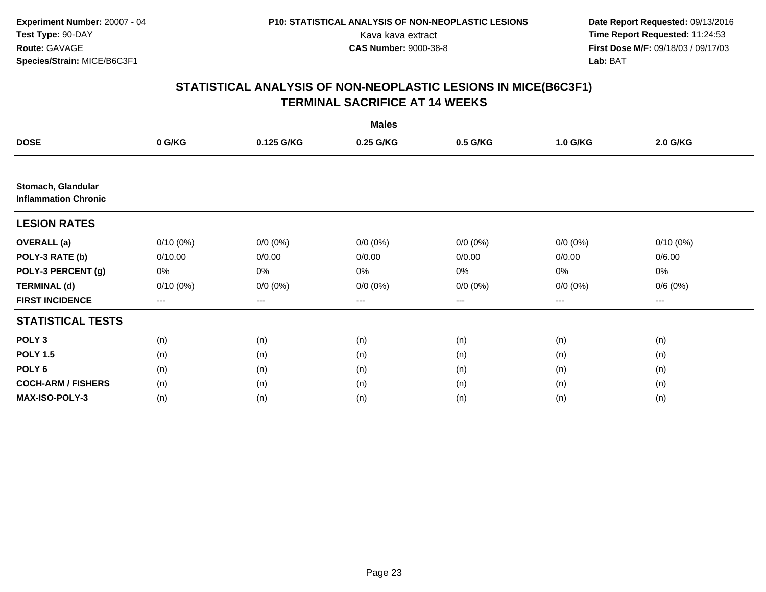|                                                   |             |             | <b>Males</b> |                        |             |             |
|---------------------------------------------------|-------------|-------------|--------------|------------------------|-------------|-------------|
| <b>DOSE</b>                                       | 0 G/KG      | 0.125 G/KG  | 0.25 G/KG    | 0.5 G/KG               | 1.0 G/KG    | 2.0 G/KG    |
|                                                   |             |             |              |                        |             |             |
| Stomach, Glandular<br><b>Inflammation Chronic</b> |             |             |              |                        |             |             |
| <b>LESION RATES</b>                               |             |             |              |                        |             |             |
| <b>OVERALL</b> (a)                                | $0/10(0\%)$ | $0/0 (0\%)$ | $0/0 (0\%)$  | $0/0 (0\%)$            | $0/0 (0\%)$ | $0/10(0\%)$ |
| POLY-3 RATE (b)                                   | 0/10.00     | 0/0.00      | 0/0.00       | 0/0.00                 | 0/0.00      | 0/6.00      |
| POLY-3 PERCENT (g)                                | 0%          | 0%          | 0%           | 0%                     | 0%          | 0%          |
| <b>TERMINAL (d)</b>                               | $0/10(0\%)$ | $0/0 (0\%)$ | $0/0 (0\%)$  | $0/0 (0\%)$            | $0/0 (0\%)$ | 0/6(0%)     |
| <b>FIRST INCIDENCE</b>                            | $--$        | ---         | ---          | $\qquad \qquad \cdots$ | ---         | ---         |
| <b>STATISTICAL TESTS</b>                          |             |             |              |                        |             |             |
| POLY <sub>3</sub>                                 | (n)         | (n)         | (n)          | (n)                    | (n)         | (n)         |
| <b>POLY 1.5</b>                                   | (n)         | (n)         | (n)          | (n)                    | (n)         | (n)         |
| POLY <sub>6</sub>                                 | (n)         | (n)         | (n)          | (n)                    | (n)         | (n)         |
| <b>COCH-ARM / FISHERS</b>                         | (n)         | (n)         | (n)          | (n)                    | (n)         | (n)         |
| <b>MAX-ISO-POLY-3</b>                             | (n)         | (n)         | (n)          | (n)                    | (n)         | (n)         |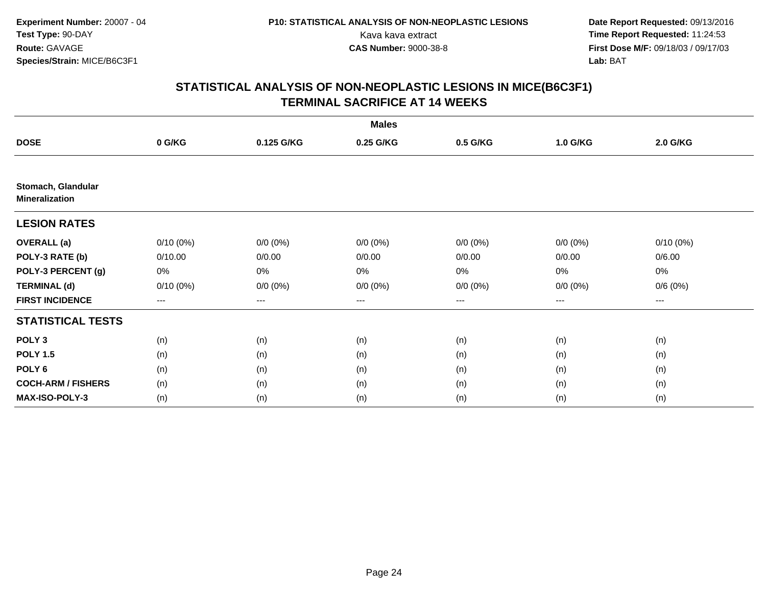|                                             |             |             | <b>Males</b> |             |             |             |  |
|---------------------------------------------|-------------|-------------|--------------|-------------|-------------|-------------|--|
| <b>DOSE</b>                                 | 0 G/KG      | 0.125 G/KG  | 0.25 G/KG    | 0.5 G/KG    | 1.0 G/KG    | 2.0 G/KG    |  |
|                                             |             |             |              |             |             |             |  |
| Stomach, Glandular<br><b>Mineralization</b> |             |             |              |             |             |             |  |
| <b>LESION RATES</b>                         |             |             |              |             |             |             |  |
| <b>OVERALL</b> (a)                          | $0/10(0\%)$ | $0/0 (0\%)$ | $0/0 (0\%)$  | $0/0 (0\%)$ | $0/0 (0\%)$ | $0/10(0\%)$ |  |
| POLY-3 RATE (b)                             | 0/10.00     | 0/0.00      | 0/0.00       | 0/0.00      | 0/0.00      | 0/6.00      |  |
| POLY-3 PERCENT (g)                          | 0%          | 0%          | 0%           | 0%          | $0\%$       | $0\%$       |  |
| <b>TERMINAL (d)</b>                         | $0/10(0\%)$ | $0/0 (0\%)$ | $0/0 (0\%)$  | $0/0 (0\%)$ | $0/0 (0\%)$ | 0/6(0%)     |  |
| <b>FIRST INCIDENCE</b>                      | $---$       | ---         | ---          | $--$        | ---         | ---         |  |
| <b>STATISTICAL TESTS</b>                    |             |             |              |             |             |             |  |
| POLY <sub>3</sub>                           | (n)         | (n)         | (n)          | (n)         | (n)         | (n)         |  |
| <b>POLY 1.5</b>                             | (n)         | (n)         | (n)          | (n)         | (n)         | (n)         |  |
| POLY <sub>6</sub>                           | (n)         | (n)         | (n)          | (n)         | (n)         | (n)         |  |
| <b>COCH-ARM / FISHERS</b>                   | (n)         | (n)         | (n)          | (n)         | (n)         | (n)         |  |
| MAX-ISO-POLY-3                              | (n)         | (n)         | (n)          | (n)         | (n)         | (n)         |  |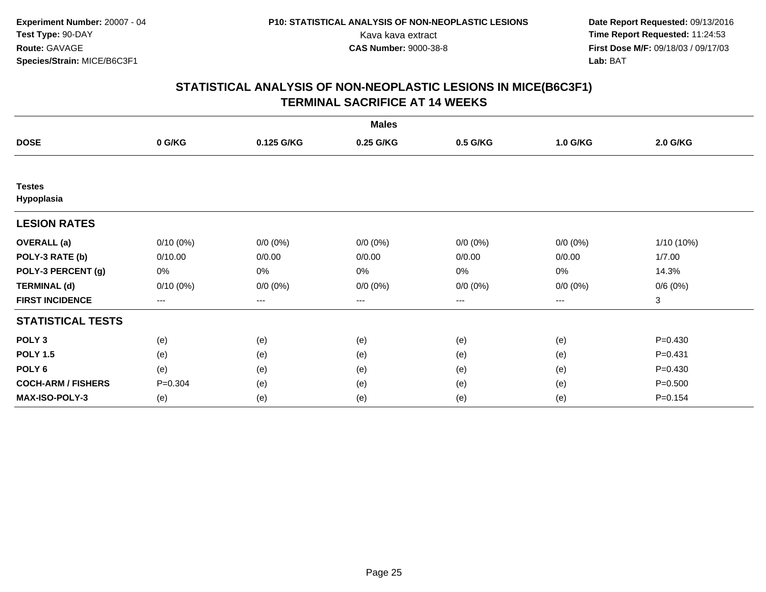|                             |             |             | <b>Males</b> |             |             |             |
|-----------------------------|-------------|-------------|--------------|-------------|-------------|-------------|
| <b>DOSE</b>                 | 0 G/KG      | 0.125 G/KG  | 0.25 G/KG    | 0.5 G/KG    | 1.0 G/KG    | 2.0 G/KG    |
|                             |             |             |              |             |             |             |
| <b>Testes</b><br>Hypoplasia |             |             |              |             |             |             |
| <b>LESION RATES</b>         |             |             |              |             |             |             |
| <b>OVERALL</b> (a)          | $0/10(0\%)$ | $0/0 (0\%)$ | $0/0 (0\%)$  | $0/0 (0\%)$ | $0/0 (0\%)$ | 1/10 (10%)  |
| POLY-3 RATE (b)             | 0/10.00     | 0/0.00      | 0/0.00       | 0/0.00      | 0/0.00      | 1/7.00      |
| POLY-3 PERCENT (g)          | 0%          | 0%          | 0%           | 0%          | $0\%$       | 14.3%       |
| <b>TERMINAL (d)</b>         | 0/10(0%)    | $0/0 (0\%)$ | $0/0 (0\%)$  | $0/0 (0\%)$ | $0/0 (0\%)$ | 0/6(0%)     |
| <b>FIRST INCIDENCE</b>      | ---         | $---$       | ---          | $--$        | $---$       | 3           |
| <b>STATISTICAL TESTS</b>    |             |             |              |             |             |             |
| POLY <sub>3</sub>           | (e)         | (e)         | (e)          | (e)         | (e)         | $P = 0.430$ |
| <b>POLY 1.5</b>             | (e)         | (e)         | (e)          | (e)         | (e)         | $P = 0.431$ |
| POLY 6                      | (e)         | (e)         | (e)          | (e)         | (e)         | $P = 0.430$ |
| <b>COCH-ARM / FISHERS</b>   | $P = 0.304$ | (e)         | (e)          | (e)         | (e)         | $P = 0.500$ |
| <b>MAX-ISO-POLY-3</b>       | (e)         | (e)         | (e)          | (e)         | (e)         | $P = 0.154$ |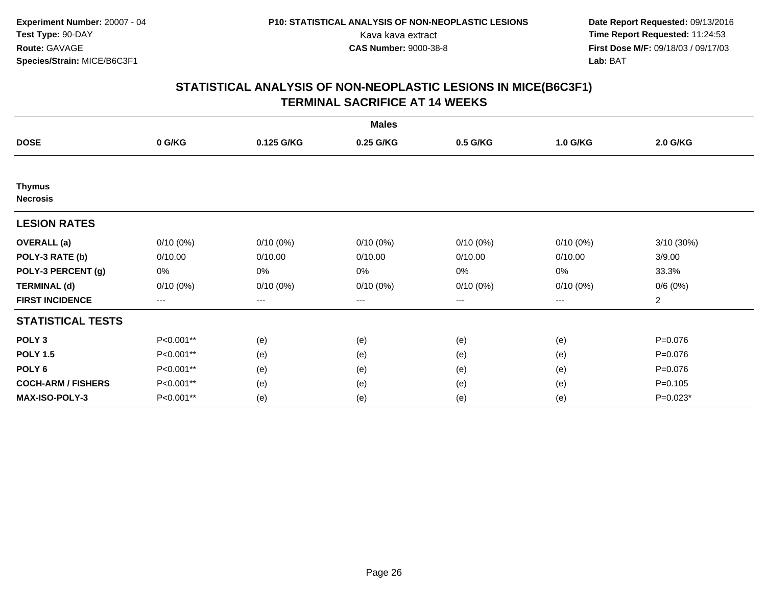|                                  |             |             | <b>Males</b> |                   |             |                |
|----------------------------------|-------------|-------------|--------------|-------------------|-------------|----------------|
| <b>DOSE</b>                      | 0 G/KG      | 0.125 G/KG  | 0.25 G/KG    | 0.5 G/KG          | 1.0 G/KG    | 2.0 G/KG       |
|                                  |             |             |              |                   |             |                |
| <b>Thymus</b><br><b>Necrosis</b> |             |             |              |                   |             |                |
| <b>LESION RATES</b>              |             |             |              |                   |             |                |
| <b>OVERALL</b> (a)               | $0/10(0\%)$ | $0/10(0\%)$ | $0/10(0\%)$  | $0/10(0\%)$       | $0/10(0\%)$ | 3/10 (30%)     |
| POLY-3 RATE (b)                  | 0/10.00     | 0/10.00     | 0/10.00      | 0/10.00           | 0/10.00     | 3/9.00         |
| POLY-3 PERCENT (g)               | 0%          | 0%          | 0%           | 0%                | $0\%$       | 33.3%          |
| <b>TERMINAL (d)</b>              | $0/10(0\%)$ | $0/10(0\%)$ | $0/10(0\%)$  | $0/10(0\%)$       | $0/10(0\%)$ | 0/6(0%)        |
| <b>FIRST INCIDENCE</b>           | ---         | $---$       | $---$        | $\qquad \qquad -$ | $---$       | $\overline{c}$ |
| <b>STATISTICAL TESTS</b>         |             |             |              |                   |             |                |
| POLY <sub>3</sub>                | P<0.001**   | (e)         | (e)          | (e)               | (e)         | $P = 0.076$    |
| <b>POLY 1.5</b>                  | P<0.001**   | (e)         | (e)          | (e)               | (e)         | $P = 0.076$    |
| POLY <sub>6</sub>                | P<0.001**   | (e)         | (e)          | (e)               | (e)         | $P = 0.076$    |
| <b>COCH-ARM / FISHERS</b>        | P<0.001**   | (e)         | (e)          | (e)               | (e)         | $P = 0.105$    |
| MAX-ISO-POLY-3                   | P<0.001**   | (e)         | (e)          | (e)               | (e)         | $P=0.023*$     |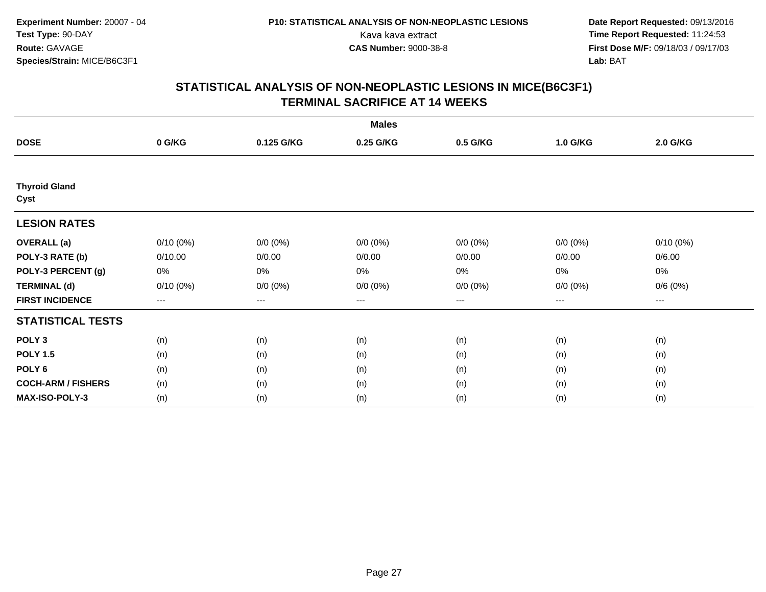|                              |             |             | <b>Males</b> |             |             |             |  |
|------------------------------|-------------|-------------|--------------|-------------|-------------|-------------|--|
| <b>DOSE</b>                  | 0 G/KG      | 0.125 G/KG  | 0.25 G/KG    | 0.5 G/KG    | 1.0 G/KG    | 2.0 G/KG    |  |
|                              |             |             |              |             |             |             |  |
| <b>Thyroid Gland</b><br>Cyst |             |             |              |             |             |             |  |
| <b>LESION RATES</b>          |             |             |              |             |             |             |  |
| <b>OVERALL</b> (a)           | $0/10(0\%)$ | $0/0 (0\%)$ | $0/0 (0\%)$  | $0/0 (0\%)$ | $0/0 (0\%)$ | $0/10(0\%)$ |  |
| POLY-3 RATE (b)              | 0/10.00     | 0/0.00      | 0/0.00       | 0/0.00      | 0/0.00      | 0/6.00      |  |
| POLY-3 PERCENT (g)           | 0%          | 0%          | 0%           | 0%          | $0\%$       | 0%          |  |
| <b>TERMINAL (d)</b>          | 0/10(0%)    | $0/0 (0\%)$ | $0/0 (0\%)$  | $0/0 (0\%)$ | $0/0 (0\%)$ | 0/6(0%)     |  |
| <b>FIRST INCIDENCE</b>       | ---         | $--$        | ---          | $--$        | $---$       | ---         |  |
| <b>STATISTICAL TESTS</b>     |             |             |              |             |             |             |  |
| POLY <sub>3</sub>            | (n)         | (n)         | (n)          | (n)         | (n)         | (n)         |  |
| <b>POLY 1.5</b>              | (n)         | (n)         | (n)          | (n)         | (n)         | (n)         |  |
| POLY 6                       | (n)         | (n)         | (n)          | (n)         | (n)         | (n)         |  |
| <b>COCH-ARM / FISHERS</b>    | (n)         | (n)         | (n)          | (n)         | (n)         | (n)         |  |
| MAX-ISO-POLY-3               | (n)         | (n)         | (n)          | (n)         | (n)         | (n)         |  |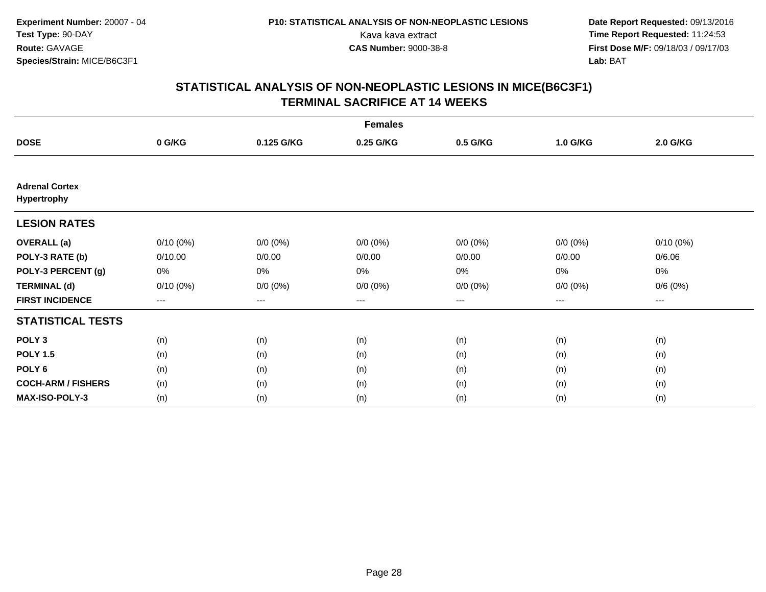|                                      |             |             | <b>Females</b> |             |             |             |  |
|--------------------------------------|-------------|-------------|----------------|-------------|-------------|-------------|--|
| <b>DOSE</b>                          | 0 G/KG      | 0.125 G/KG  | 0.25 G/KG      | 0.5 G/KG    | 1.0 G/KG    | 2.0 G/KG    |  |
|                                      |             |             |                |             |             |             |  |
| <b>Adrenal Cortex</b><br>Hypertrophy |             |             |                |             |             |             |  |
| <b>LESION RATES</b>                  |             |             |                |             |             |             |  |
| <b>OVERALL</b> (a)                   | $0/10(0\%)$ | $0/0 (0\%)$ | $0/0 (0\%)$    | $0/0 (0\%)$ | $0/0 (0\%)$ | $0/10(0\%)$ |  |
| POLY-3 RATE (b)                      | 0/10.00     | 0/0.00      | 0/0.00         | 0/0.00      | 0/0.00      | 0/6.06      |  |
| POLY-3 PERCENT (g)                   | 0%          | 0%          | 0%             | 0%          | 0%          | 0%          |  |
| <b>TERMINAL (d)</b>                  | $0/10(0\%)$ | $0/0 (0\%)$ | $0/0 (0\%)$    | $0/0 (0\%)$ | $0/0 (0\%)$ | 0/6(0%)     |  |
| <b>FIRST INCIDENCE</b>               | ---         | $--$        | ---            | $--$        | ---         | ---         |  |
| <b>STATISTICAL TESTS</b>             |             |             |                |             |             |             |  |
| POLY <sub>3</sub>                    | (n)         | (n)         | (n)            | (n)         | (n)         | (n)         |  |
| <b>POLY 1.5</b>                      | (n)         | (n)         | (n)            | (n)         | (n)         | (n)         |  |
| POLY <sub>6</sub>                    | (n)         | (n)         | (n)            | (n)         | (n)         | (n)         |  |
| <b>COCH-ARM / FISHERS</b>            | (n)         | (n)         | (n)            | (n)         | (n)         | (n)         |  |
| <b>MAX-ISO-POLY-3</b>                | (n)         | (n)         | (n)            | (n)         | (n)         | (n)         |  |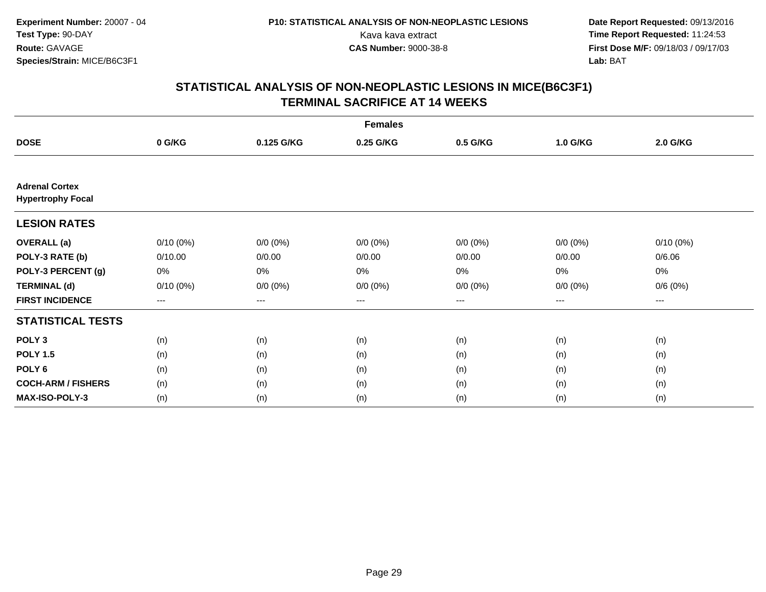|                                                   |             |             | <b>Females</b> |             |             |                     |  |
|---------------------------------------------------|-------------|-------------|----------------|-------------|-------------|---------------------|--|
| <b>DOSE</b>                                       | 0 G/KG      | 0.125 G/KG  | 0.25 G/KG      | 0.5 G/KG    | 1.0 G/KG    | 2.0 G/KG            |  |
|                                                   |             |             |                |             |             |                     |  |
| <b>Adrenal Cortex</b><br><b>Hypertrophy Focal</b> |             |             |                |             |             |                     |  |
| <b>LESION RATES</b>                               |             |             |                |             |             |                     |  |
| <b>OVERALL</b> (a)                                | $0/10(0\%)$ | $0/0 (0\%)$ | $0/0 (0\%)$    | $0/0 (0\%)$ | $0/0 (0\%)$ | $0/10(0\%)$         |  |
| POLY-3 RATE (b)                                   | 0/10.00     | 0/0.00      | 0/0.00         | 0/0.00      | 0/0.00      | 0/6.06              |  |
| POLY-3 PERCENT (g)                                | 0%          | 0%          | 0%             | 0%          | $0\%$       | 0%                  |  |
| <b>TERMINAL (d)</b>                               | $0/10(0\%)$ | $0/0 (0\%)$ | $0/0 (0\%)$    | $0/0 (0\%)$ | $0/0 (0\%)$ | 0/6(0%)             |  |
| <b>FIRST INCIDENCE</b>                            | $---$       | $---$       | ---            | $\cdots$    | $---$       | $\qquad \qquad - -$ |  |
| <b>STATISTICAL TESTS</b>                          |             |             |                |             |             |                     |  |
| POLY <sub>3</sub>                                 | (n)         | (n)         | (n)            | (n)         | (n)         | (n)                 |  |
| <b>POLY 1.5</b>                                   | (n)         | (n)         | (n)            | (n)         | (n)         | (n)                 |  |
| POLY <sub>6</sub>                                 | (n)         | (n)         | (n)            | (n)         | (n)         | (n)                 |  |
| <b>COCH-ARM / FISHERS</b>                         | (n)         | (n)         | (n)            | (n)         | (n)         | (n)                 |  |
| <b>MAX-ISO-POLY-3</b>                             | (n)         | (n)         | (n)            | (n)         | (n)         | (n)                 |  |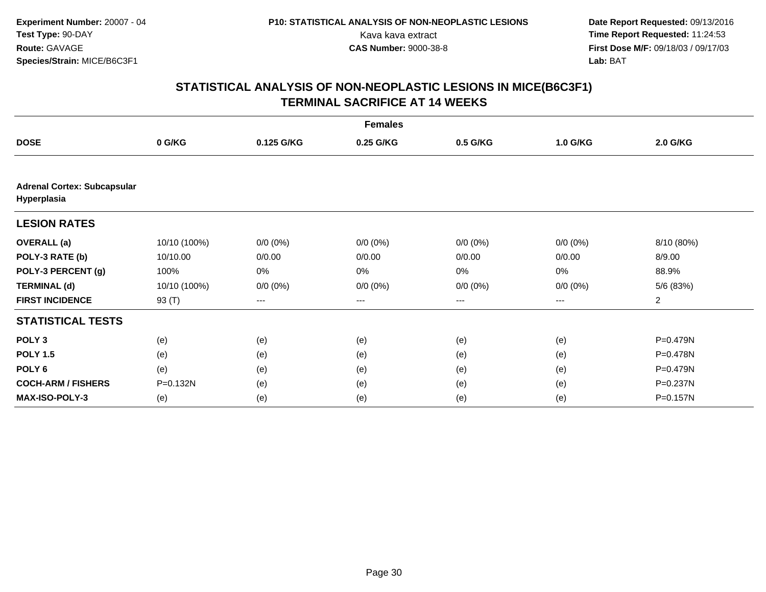|                                                   |              |             | <b>Females</b> |                   |             |                 |
|---------------------------------------------------|--------------|-------------|----------------|-------------------|-------------|-----------------|
| <b>DOSE</b>                                       | 0 G/KG       | 0.125 G/KG  | 0.25 G/KG      | 0.5 G/KG          | 1.0 G/KG    | <b>2.0 G/KG</b> |
|                                                   |              |             |                |                   |             |                 |
| <b>Adrenal Cortex: Subcapsular</b><br>Hyperplasia |              |             |                |                   |             |                 |
| <b>LESION RATES</b>                               |              |             |                |                   |             |                 |
| <b>OVERALL</b> (a)                                | 10/10 (100%) | $0/0 (0\%)$ | $0/0 (0\%)$    | $0/0 (0\%)$       | $0/0 (0\%)$ | 8/10 (80%)      |
| POLY-3 RATE (b)                                   | 10/10.00     | 0/0.00      | 0/0.00         | 0/0.00            | 0/0.00      | 8/9.00          |
| POLY-3 PERCENT (g)                                | 100%         | 0%          | 0%             | 0%                | 0%          | 88.9%           |
| <b>TERMINAL (d)</b>                               | 10/10 (100%) | $0/0 (0\%)$ | $0/0 (0\%)$    | $0/0 (0\%)$       | $0/0 (0\%)$ | 5/6 (83%)       |
| <b>FIRST INCIDENCE</b>                            | 93 (T)       | $---$       | ---            | $\qquad \qquad -$ | ---         | $\overline{2}$  |
| <b>STATISTICAL TESTS</b>                          |              |             |                |                   |             |                 |
| POLY <sub>3</sub>                                 | (e)          | (e)         | (e)            | (e)               | (e)         | P=0.479N        |
| <b>POLY 1.5</b>                                   | (e)          | (e)         | (e)            | (e)               | (e)         | P=0.478N        |
| POLY <sub>6</sub>                                 | (e)          | (e)         | (e)            | (e)               | (e)         | P=0.479N        |
| <b>COCH-ARM / FISHERS</b>                         | P=0.132N     | (e)         | (e)            | (e)               | (e)         | P=0.237N        |
| MAX-ISO-POLY-3                                    | (e)          | (e)         | (e)            | (e)               | (e)         | P=0.157N        |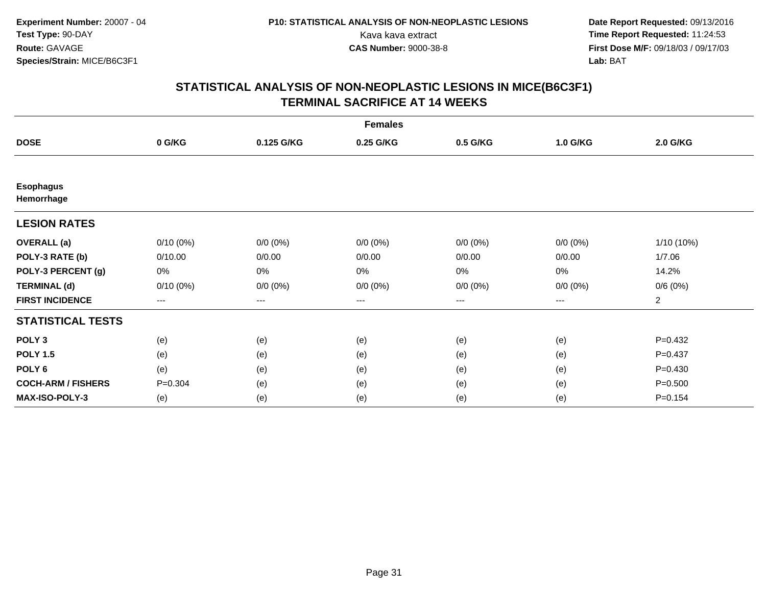|                                |             |             | <b>Females</b> |             |             |                |
|--------------------------------|-------------|-------------|----------------|-------------|-------------|----------------|
| <b>DOSE</b>                    | 0 G/KG      | 0.125 G/KG  | 0.25 G/KG      | 0.5 G/KG    | 1.0 G/KG    | 2.0 G/KG       |
|                                |             |             |                |             |             |                |
| <b>Esophagus</b><br>Hemorrhage |             |             |                |             |             |                |
| <b>LESION RATES</b>            |             |             |                |             |             |                |
| <b>OVERALL</b> (a)             | $0/10(0\%)$ | $0/0 (0\%)$ | $0/0 (0\%)$    | $0/0 (0\%)$ | $0/0 (0\%)$ | 1/10 (10%)     |
| POLY-3 RATE (b)                | 0/10.00     | 0/0.00      | 0/0.00         | 0/0.00      | 0/0.00      | 1/7.06         |
| POLY-3 PERCENT (g)             | 0%          | 0%          | 0%             | 0%          | $0\%$       | 14.2%          |
| <b>TERMINAL (d)</b>            | $0/10(0\%)$ | $0/0 (0\%)$ | $0/0 (0\%)$    | $0/0 (0\%)$ | $0/0 (0\%)$ | 0/6(0%)        |
| <b>FIRST INCIDENCE</b>         | ---         | $--$        | ---            | $--$        | ---         | $\overline{a}$ |
| <b>STATISTICAL TESTS</b>       |             |             |                |             |             |                |
| POLY <sub>3</sub>              | (e)         | (e)         | (e)            | (e)         | (e)         | $P = 0.432$    |
| <b>POLY 1.5</b>                | (e)         | (e)         | (e)            | (e)         | (e)         | $P=0.437$      |
| POLY <sub>6</sub>              | (e)         | (e)         | (e)            | (e)         | (e)         | $P = 0.430$    |
| <b>COCH-ARM / FISHERS</b>      | $P = 0.304$ | (e)         | (e)            | (e)         | (e)         | $P = 0.500$    |
| <b>MAX-ISO-POLY-3</b>          | (e)         | (e)         | (e)            | (e)         | (e)         | $P = 0.154$    |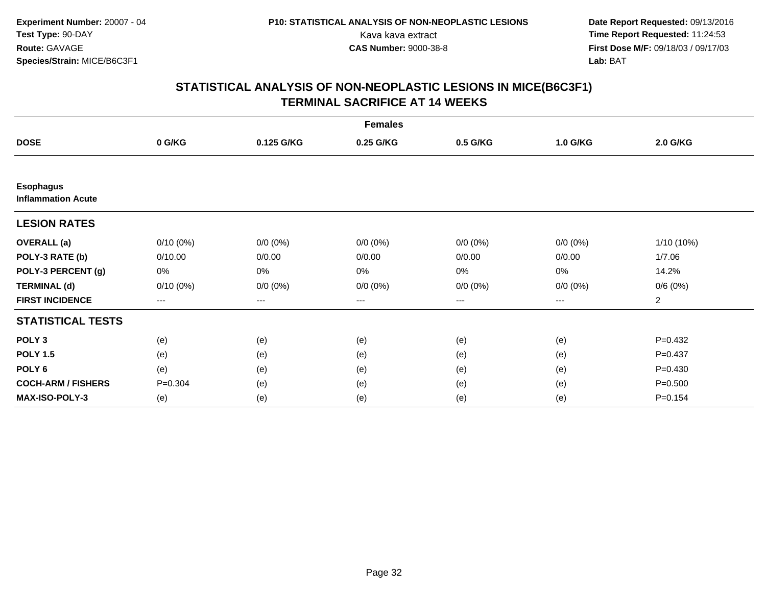|                                               |             |             | <b>Females</b> |                   |             |                |
|-----------------------------------------------|-------------|-------------|----------------|-------------------|-------------|----------------|
| <b>DOSE</b>                                   | 0 G/KG      | 0.125 G/KG  | 0.25 G/KG      | 0.5 G/KG          | 1.0 G/KG    | 2.0 G/KG       |
|                                               |             |             |                |                   |             |                |
| <b>Esophagus</b><br><b>Inflammation Acute</b> |             |             |                |                   |             |                |
| <b>LESION RATES</b>                           |             |             |                |                   |             |                |
| <b>OVERALL</b> (a)                            | $0/10(0\%)$ | $0/0 (0\%)$ | $0/0 (0\%)$    | $0/0 (0\%)$       | $0/0 (0\%)$ | 1/10 (10%)     |
| POLY-3 RATE (b)                               | 0/10.00     | 0/0.00      | 0/0.00         | 0/0.00            | 0/0.00      | 1/7.06         |
| POLY-3 PERCENT (g)                            | 0%          | 0%          | 0%             | 0%                | 0%          | 14.2%          |
| <b>TERMINAL (d)</b>                           | $0/10(0\%)$ | $0/0 (0\%)$ | $0/0 (0\%)$    | $0/0 (0\%)$       | $0/0 (0\%)$ | 0/6(0%)        |
| <b>FIRST INCIDENCE</b>                        | $---$       | $---$       | ---            | $\qquad \qquad -$ | $---$       | $\overline{a}$ |
| <b>STATISTICAL TESTS</b>                      |             |             |                |                   |             |                |
| POLY <sub>3</sub>                             | (e)         | (e)         | (e)            | (e)               | (e)         | $P=0.432$      |
| <b>POLY 1.5</b>                               | (e)         | (e)         | (e)            | (e)               | (e)         | $P=0.437$      |
| POLY <sub>6</sub>                             | (e)         | (e)         | (e)            | (e)               | (e)         | $P = 0.430$    |
| <b>COCH-ARM / FISHERS</b>                     | $P = 0.304$ | (e)         | (e)            | (e)               | (e)         | $P = 0.500$    |
| <b>MAX-ISO-POLY-3</b>                         | (e)         | (e)         | (e)            | (e)               | (e)         | $P = 0.154$    |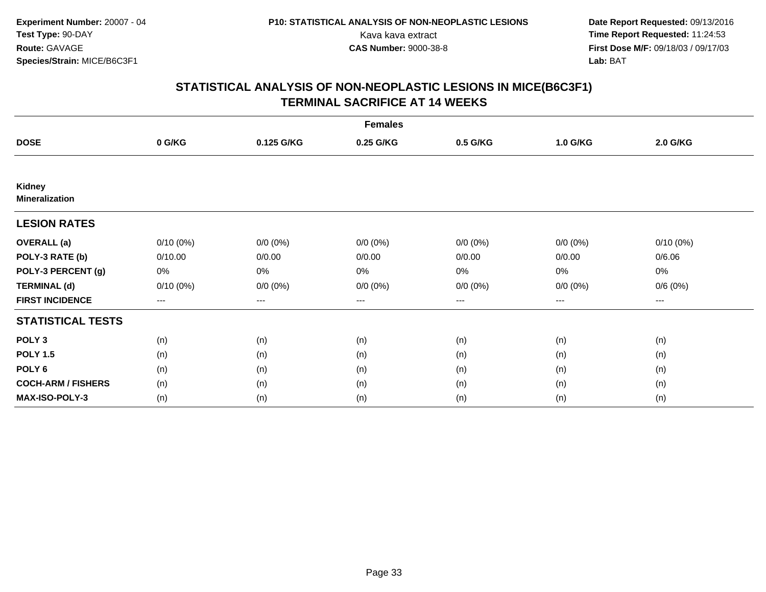|                                 |             |             | <b>Females</b> |                   |             |                     |  |
|---------------------------------|-------------|-------------|----------------|-------------------|-------------|---------------------|--|
| <b>DOSE</b>                     | 0 G/KG      | 0.125 G/KG  | 0.25 G/KG      | 0.5 G/KG          | 1.0 G/KG    | 2.0 G/KG            |  |
|                                 |             |             |                |                   |             |                     |  |
| Kidney<br><b>Mineralization</b> |             |             |                |                   |             |                     |  |
| <b>LESION RATES</b>             |             |             |                |                   |             |                     |  |
| <b>OVERALL</b> (a)              | $0/10(0\%)$ | $0/0 (0\%)$ | $0/0 (0\%)$    | $0/0 (0\%)$       | $0/0 (0\%)$ | $0/10(0\%)$         |  |
| POLY-3 RATE (b)                 | 0/10.00     | 0/0.00      | 0/0.00         | 0/0.00            | 0/0.00      | 0/6.06              |  |
| POLY-3 PERCENT (g)              | 0%          | 0%          | 0%             | 0%                | $0\%$       | 0%                  |  |
| <b>TERMINAL (d)</b>             | $0/10(0\%)$ | $0/0 (0\%)$ | $0/0 (0\%)$    | $0/0 (0\%)$       | $0/0 (0\%)$ | 0/6(0%)             |  |
| <b>FIRST INCIDENCE</b>          | $---$       | $---$       | ---            | $\qquad \qquad -$ | $---$       | $\qquad \qquad - -$ |  |
| <b>STATISTICAL TESTS</b>        |             |             |                |                   |             |                     |  |
| POLY <sub>3</sub>               | (n)         | (n)         | (n)            | (n)               | (n)         | (n)                 |  |
| <b>POLY 1.5</b>                 | (n)         | (n)         | (n)            | (n)               | (n)         | (n)                 |  |
| POLY <sub>6</sub>               | (n)         | (n)         | (n)            | (n)               | (n)         | (n)                 |  |
| <b>COCH-ARM / FISHERS</b>       | (n)         | (n)         | (n)            | (n)               | (n)         | (n)                 |  |
| <b>MAX-ISO-POLY-3</b>           | (n)         | (n)         | (n)            | (n)               | (n)         | (n)                 |  |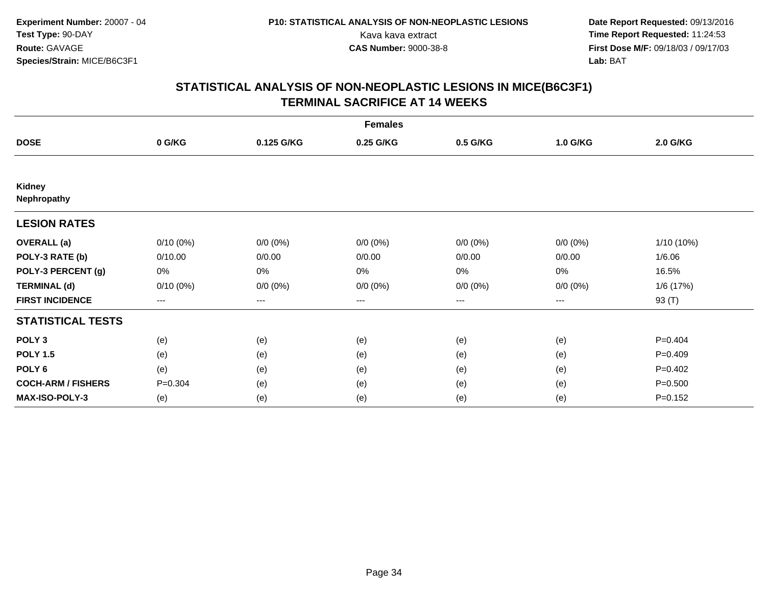|                              |             |                   | <b>Females</b> |             |             |             |
|------------------------------|-------------|-------------------|----------------|-------------|-------------|-------------|
| <b>DOSE</b>                  | 0 G/KG      | 0.125 G/KG        | 0.25 G/KG      | 0.5 G/KG    | 1.0 G/KG    | 2.0 G/KG    |
|                              |             |                   |                |             |             |             |
| <b>Kidney</b><br>Nephropathy |             |                   |                |             |             |             |
| <b>LESION RATES</b>          |             |                   |                |             |             |             |
| <b>OVERALL</b> (a)           | $0/10(0\%)$ | $0/0 (0\%)$       | $0/0 (0\%)$    | $0/0 (0\%)$ | $0/0 (0\%)$ | 1/10 (10%)  |
| POLY-3 RATE (b)              | 0/10.00     | 0/0.00            | 0/0.00         | 0/0.00      | 0/0.00      | 1/6.06      |
| POLY-3 PERCENT (g)           | 0%          | 0%                | 0%             | 0%          | $0\%$       | 16.5%       |
| <b>TERMINAL (d)</b>          | $0/10(0\%)$ | $0/0 (0\%)$       | $0/0 (0\%)$    | $0/0 (0\%)$ | $0/0 (0\%)$ | 1/6(17%)    |
| <b>FIRST INCIDENCE</b>       | ---         | $\qquad \qquad -$ | ---            | $--$        | ---         | 93 (T)      |
| <b>STATISTICAL TESTS</b>     |             |                   |                |             |             |             |
| POLY <sub>3</sub>            | (e)         | (e)               | (e)            | (e)         | (e)         | $P=0.404$   |
| <b>POLY 1.5</b>              | (e)         | (e)               | (e)            | (e)         | (e)         | $P=0.409$   |
| POLY <sub>6</sub>            | (e)         | (e)               | (e)            | (e)         | (e)         | $P=0.402$   |
| <b>COCH-ARM / FISHERS</b>    | $P = 0.304$ | (e)               | (e)            | (e)         | (e)         | $P = 0.500$ |
| <b>MAX-ISO-POLY-3</b>        | (e)         | (e)               | (e)            | (e)         | (e)         | $P = 0.152$ |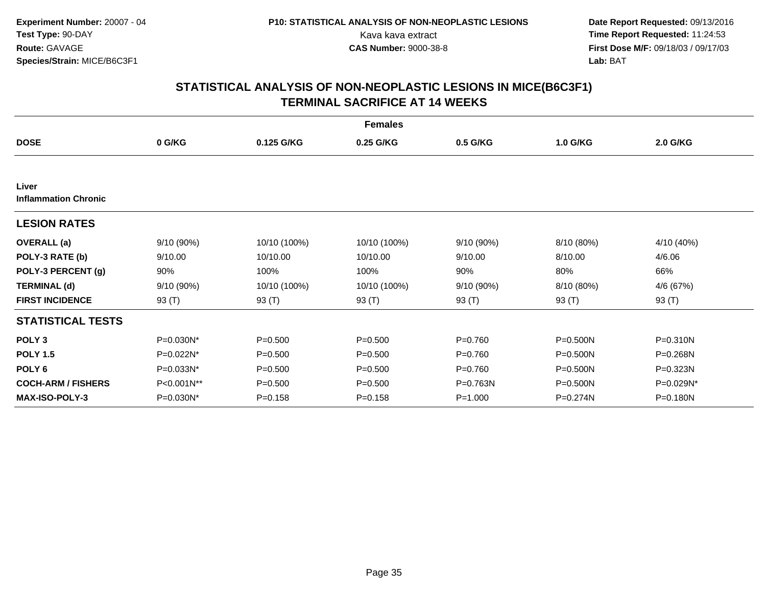|                                      |              |              | <b>Females</b> |             |            |              |
|--------------------------------------|--------------|--------------|----------------|-------------|------------|--------------|
| <b>DOSE</b>                          | 0 G/KG       | 0.125 G/KG   | 0.25 G/KG      | 0.5 G/KG    | 1.0 G/KG   | 2.0 G/KG     |
|                                      |              |              |                |             |            |              |
| Liver<br><b>Inflammation Chronic</b> |              |              |                |             |            |              |
| <b>LESION RATES</b>                  |              |              |                |             |            |              |
| <b>OVERALL</b> (a)                   | 9/10(90%)    | 10/10 (100%) | 10/10 (100%)   | 9/10 (90%)  | 8/10 (80%) | 4/10 (40%)   |
| POLY-3 RATE (b)                      | 9/10.00      | 10/10.00     | 10/10.00       | 9/10.00     | 8/10.00    | 4/6.06       |
| POLY-3 PERCENT (g)                   | 90%          | 100%         | 100%           | 90%         | 80%        | 66%          |
| <b>TERMINAL (d)</b>                  | 9/10 (90%)   | 10/10 (100%) | 10/10 (100%)   | 9/10 (90%)  | 8/10 (80%) | 4/6 (67%)    |
| <b>FIRST INCIDENCE</b>               | 93 $(T)$     | 93 (T)       | 93 $(T)$       | 93 $(T)$    | 93 $(T)$   | 93 $(T)$     |
| <b>STATISTICAL TESTS</b>             |              |              |                |             |            |              |
| POLY <sub>3</sub>                    | P=0.030N*    | $P = 0.500$  | $P = 0.500$    | $P = 0.760$ | P=0.500N   | $P = 0.310N$ |
| <b>POLY 1.5</b>                      | $P=0.022N^*$ | $P = 0.500$  | $P = 0.500$    | $P=0.760$   | P=0.500N   | $P = 0.268N$ |
| POLY <sub>6</sub>                    | P=0.033N*    | $P = 0.500$  | $P = 0.500$    | $P=0.760$   | P=0.500N   | P=0.323N     |
| <b>COCH-ARM / FISHERS</b>            | P<0.001N**   | $P = 0.500$  | $P = 0.500$    | P=0.763N    | P=0.500N   | P=0.029N*    |
| <b>MAX-ISO-POLY-3</b>                | P=0.030N*    | $P = 0.158$  | $P = 0.158$    | $P = 1.000$ | P=0.274N   | P=0.180N     |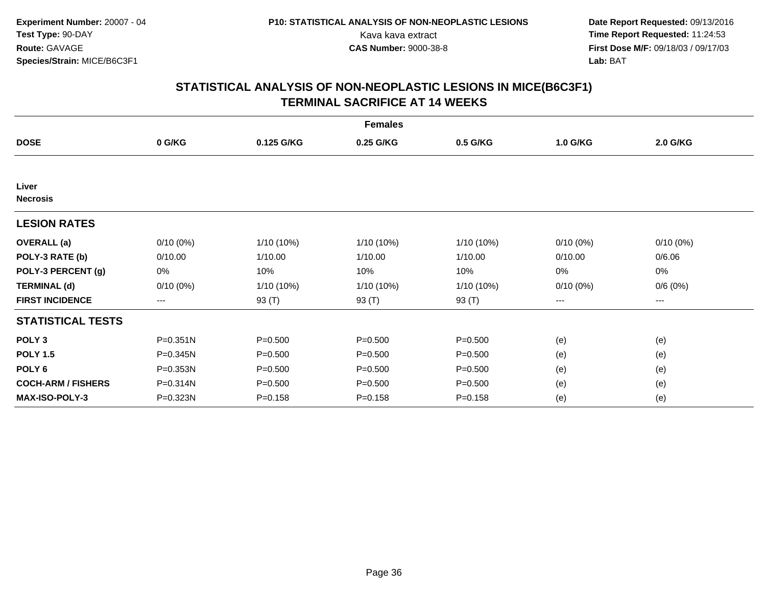|                           |              |              | <b>Females</b> |              |             |             |  |
|---------------------------|--------------|--------------|----------------|--------------|-------------|-------------|--|
| <b>DOSE</b>               | 0 G/KG       | 0.125 G/KG   | 0.25 G/KG      | 0.5 G/KG     | 1.0 G/KG    | 2.0 G/KG    |  |
|                           |              |              |                |              |             |             |  |
| Liver<br><b>Necrosis</b>  |              |              |                |              |             |             |  |
| <b>LESION RATES</b>       |              |              |                |              |             |             |  |
| <b>OVERALL</b> (a)        | $0/10(0\%)$  | 1/10 (10%)   | 1/10 (10%)     | 1/10 (10%)   | $0/10(0\%)$ | $0/10(0\%)$ |  |
| POLY-3 RATE (b)           | 0/10.00      | 1/10.00      | 1/10.00        | 1/10.00      | 0/10.00     | 0/6.06      |  |
| POLY-3 PERCENT (g)        | 0%           | 10%          | 10%            | 10%          | 0%          | 0%          |  |
| <b>TERMINAL (d)</b>       | $0/10(0\%)$  | $1/10(10\%)$ | 1/10 (10%)     | $1/10(10\%)$ | $0/10(0\%)$ | 0/6(0%)     |  |
| <b>FIRST INCIDENCE</b>    | $\cdots$     | 93 (T)       | 93 (T)         | 93 (T)       | $\cdots$    | ---         |  |
| <b>STATISTICAL TESTS</b>  |              |              |                |              |             |             |  |
| POLY <sub>3</sub>         | $P = 0.351N$ | $P = 0.500$  | $P = 0.500$    | $P = 0.500$  | (e)         | (e)         |  |
| <b>POLY 1.5</b>           | P=0.345N     | $P = 0.500$  | $P = 0.500$    | $P = 0.500$  | (e)         | (e)         |  |
| POLY <sub>6</sub>         | P=0.353N     | $P = 0.500$  | $P = 0.500$    | $P = 0.500$  | (e)         | (e)         |  |
| <b>COCH-ARM / FISHERS</b> | P=0.314N     | $P = 0.500$  | $P = 0.500$    | $P = 0.500$  | (e)         | (e)         |  |
| <b>MAX-ISO-POLY-3</b>     | P=0.323N     | $P = 0.158$  | $P = 0.158$    | $P = 0.158$  | (e)         | (e)         |  |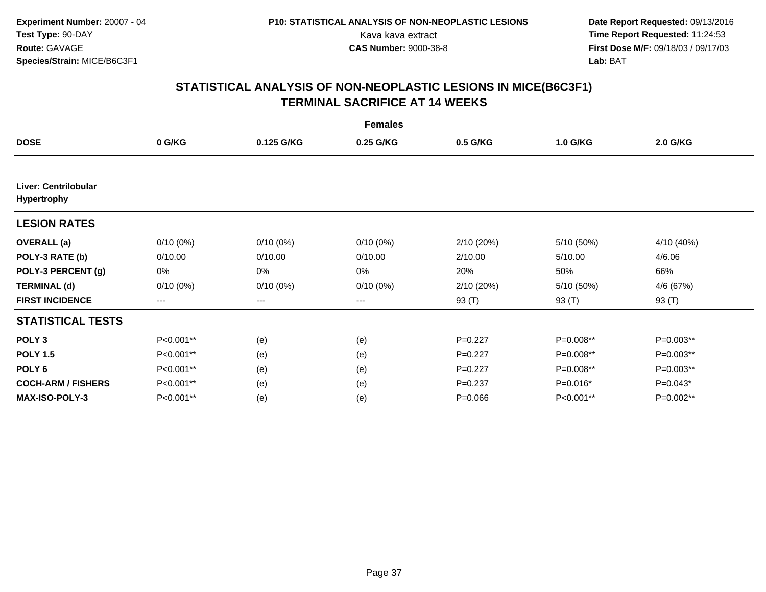|                                     |             |             | <b>Females</b> |             |            |            |
|-------------------------------------|-------------|-------------|----------------|-------------|------------|------------|
| <b>DOSE</b>                         | 0 G/KG      | 0.125 G/KG  | 0.25 G/KG      | 0.5 G/KG    | 1.0 G/KG   | 2.0 G/KG   |
|                                     |             |             |                |             |            |            |
| Liver: Centrilobular<br>Hypertrophy |             |             |                |             |            |            |
| <b>LESION RATES</b>                 |             |             |                |             |            |            |
| <b>OVERALL</b> (a)                  | $0/10(0\%)$ | $0/10(0\%)$ | $0/10(0\%)$    | 2/10(20%)   | 5/10 (50%) | 4/10 (40%) |
| POLY-3 RATE (b)                     | 0/10.00     | 0/10.00     | 0/10.00        | 2/10.00     | 5/10.00    | 4/6.06     |
| POLY-3 PERCENT (g)                  | 0%          | 0%          | 0%             | 20%         | 50%        | 66%        |
| <b>TERMINAL (d)</b>                 | $0/10(0\%)$ | $0/10(0\%)$ | $0/10(0\%)$    | 2/10(20%)   | 5/10 (50%) | 4/6 (67%)  |
| <b>FIRST INCIDENCE</b>              | $---$       | ---         | ---            | 93 (T)      | 93 (T)     | 93 (T)     |
| <b>STATISTICAL TESTS</b>            |             |             |                |             |            |            |
| POLY <sub>3</sub>                   | P<0.001**   | (e)         | (e)            | $P=0.227$   | P=0.008**  | P=0.003**  |
| <b>POLY 1.5</b>                     | P<0.001**   | (e)         | (e)            | $P=0.227$   | P=0.008**  | P=0.003**  |
| POLY <sub>6</sub>                   | P<0.001**   | (e)         | (e)            | $P=0.227$   | P=0.008**  | P=0.003**  |
| <b>COCH-ARM / FISHERS</b>           | P<0.001**   | (e)         | (e)            | $P = 0.237$ | $P=0.016*$ | $P=0.043*$ |
| MAX-ISO-POLY-3                      | P<0.001**   | (e)         | (e)            | $P = 0.066$ | P<0.001**  | P=0.002**  |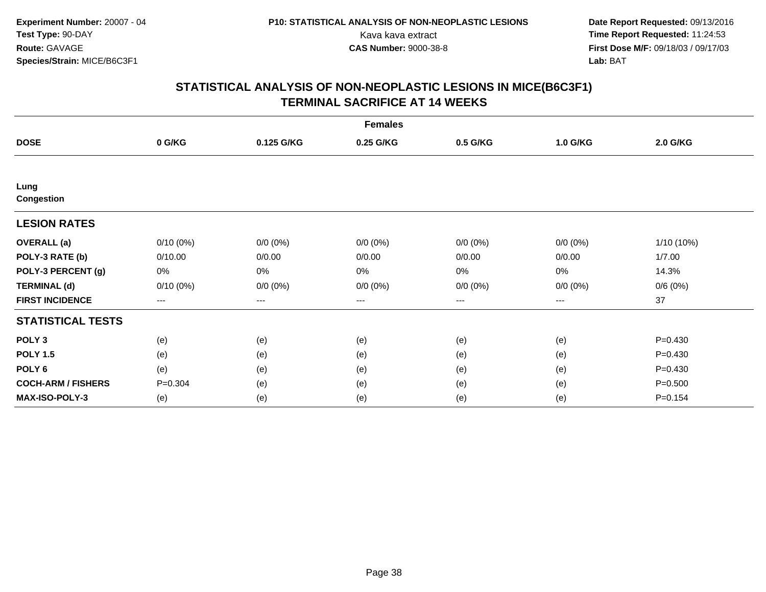|                           |             |                   | <b>Females</b> |             |             |             |
|---------------------------|-------------|-------------------|----------------|-------------|-------------|-------------|
| <b>DOSE</b>               | 0 G/KG      | 0.125 G/KG        | 0.25 G/KG      | 0.5 G/KG    | 1.0 G/KG    | 2.0 G/KG    |
|                           |             |                   |                |             |             |             |
| Lung<br>Congestion        |             |                   |                |             |             |             |
| <b>LESION RATES</b>       |             |                   |                |             |             |             |
| <b>OVERALL</b> (a)        | $0/10(0\%)$ | $0/0 (0\%)$       | $0/0 (0\%)$    | $0/0 (0\%)$ | $0/0 (0\%)$ | 1/10 (10%)  |
| POLY-3 RATE (b)           | 0/10.00     | 0/0.00            | 0/0.00         | 0/0.00      | 0/0.00      | 1/7.00      |
| POLY-3 PERCENT (g)        | 0%          | $0\%$             | 0%             | 0%          | $0\%$       | 14.3%       |
| <b>TERMINAL (d)</b>       | $0/10(0\%)$ | $0/0 (0\%)$       | $0/0 (0\%)$    | $0/0 (0\%)$ | $0/0 (0\%)$ | 0/6(0%)     |
| <b>FIRST INCIDENCE</b>    | $--$        | $\qquad \qquad -$ | ---            | $--$        | $---$       | 37          |
| <b>STATISTICAL TESTS</b>  |             |                   |                |             |             |             |
| POLY <sub>3</sub>         | (e)         | (e)               | (e)            | (e)         | (e)         | $P = 0.430$ |
| <b>POLY 1.5</b>           | (e)         | (e)               | (e)            | (e)         | (e)         | $P = 0.430$ |
| POLY <sub>6</sub>         | (e)         | (e)               | (e)            | (e)         | (e)         | $P=0.430$   |
| <b>COCH-ARM / FISHERS</b> | $P = 0.304$ | (e)               | (e)            | (e)         | (e)         | $P = 0.500$ |
| <b>MAX-ISO-POLY-3</b>     | (e)         | (e)               | (e)            | (e)         | (e)         | $P = 0.154$ |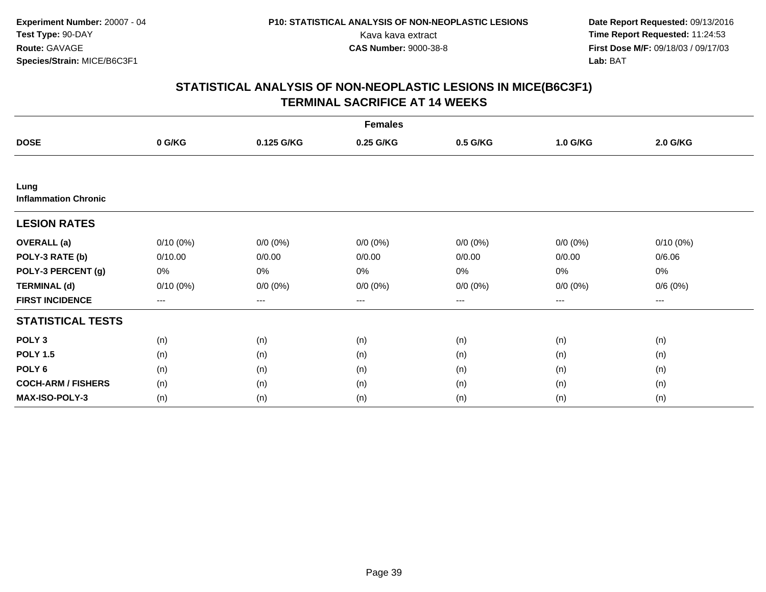|                                     |             |             | <b>Females</b> |             |             |                     |  |
|-------------------------------------|-------------|-------------|----------------|-------------|-------------|---------------------|--|
| <b>DOSE</b>                         | 0 G/KG      | 0.125 G/KG  | 0.25 G/KG      | 0.5 G/KG    | 1.0 G/KG    | 2.0 G/KG            |  |
|                                     |             |             |                |             |             |                     |  |
| Lung<br><b>Inflammation Chronic</b> |             |             |                |             |             |                     |  |
| <b>LESION RATES</b>                 |             |             |                |             |             |                     |  |
| <b>OVERALL</b> (a)                  | $0/10(0\%)$ | $0/0 (0\%)$ | $0/0 (0\%)$    | $0/0 (0\%)$ | $0/0 (0\%)$ | $0/10(0\%)$         |  |
| POLY-3 RATE (b)                     | 0/10.00     | 0/0.00      | 0/0.00         | 0/0.00      | 0/0.00      | 0/6.06              |  |
| POLY-3 PERCENT (g)                  | 0%          | 0%          | 0%             | 0%          | $0\%$       | 0%                  |  |
| <b>TERMINAL (d)</b>                 | $0/10(0\%)$ | $0/0 (0\%)$ | $0/0 (0\%)$    | $0/0 (0\%)$ | $0/0 (0\%)$ | 0/6(0%)             |  |
| <b>FIRST INCIDENCE</b>              | $---$       | $---$       | ---            | $\cdots$    | $---$       | $\qquad \qquad - -$ |  |
| <b>STATISTICAL TESTS</b>            |             |             |                |             |             |                     |  |
| POLY <sub>3</sub>                   | (n)         | (n)         | (n)            | (n)         | (n)         | (n)                 |  |
| <b>POLY 1.5</b>                     | (n)         | (n)         | (n)            | (n)         | (n)         | (n)                 |  |
| POLY <sub>6</sub>                   | (n)         | (n)         | (n)            | (n)         | (n)         | (n)                 |  |
| <b>COCH-ARM / FISHERS</b>           | (n)         | (n)         | (n)            | (n)         | (n)         | (n)                 |  |
| <b>MAX-ISO-POLY-3</b>               | (n)         | (n)         | (n)            | (n)         | (n)         | (n)                 |  |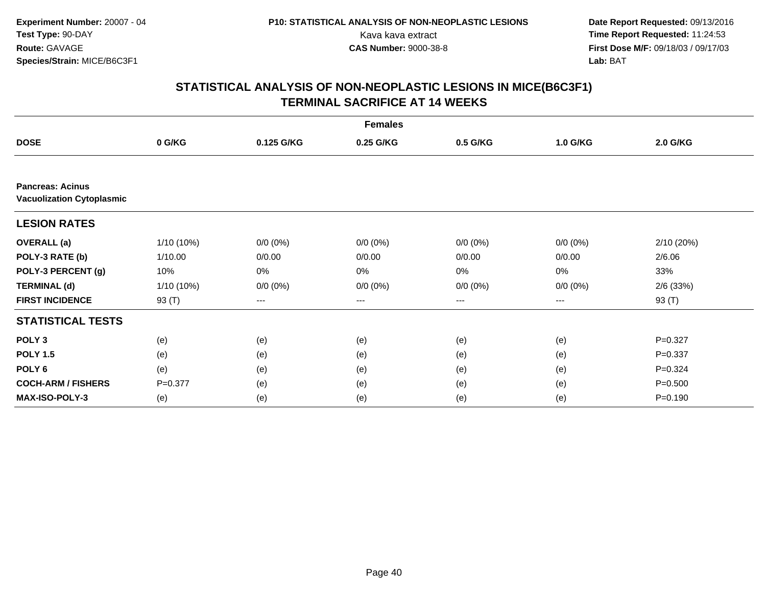|                                                             |              |             | <b>Females</b> |             |             |                 |
|-------------------------------------------------------------|--------------|-------------|----------------|-------------|-------------|-----------------|
| <b>DOSE</b>                                                 | 0 G/KG       | 0.125 G/KG  | 0.25 G/KG      | 0.5 G/KG    | 1.0 G/KG    | <b>2.0 G/KG</b> |
|                                                             |              |             |                |             |             |                 |
| <b>Pancreas: Acinus</b><br><b>Vacuolization Cytoplasmic</b> |              |             |                |             |             |                 |
| <b>LESION RATES</b>                                         |              |             |                |             |             |                 |
| <b>OVERALL</b> (a)                                          | $1/10(10\%)$ | $0/0 (0\%)$ | $0/0 (0\%)$    | $0/0 (0\%)$ | $0/0 (0\%)$ | 2/10 (20%)      |
| POLY-3 RATE (b)                                             | 1/10.00      | 0/0.00      | 0/0.00         | 0/0.00      | 0/0.00      | 2/6.06          |
| POLY-3 PERCENT (g)                                          | 10%          | 0%          | $0\%$          | 0%          | 0%          | 33%             |
| <b>TERMINAL (d)</b>                                         | $1/10(10\%)$ | $0/0 (0\%)$ | $0/0 (0\%)$    | $0/0(0\%)$  | $0/0 (0\%)$ | $2/6$ (33%)     |
| <b>FIRST INCIDENCE</b>                                      | 93 (T)       | ---         | ---            | $---$       | ---         | 93 (T)          |
| <b>STATISTICAL TESTS</b>                                    |              |             |                |             |             |                 |
| POLY <sub>3</sub>                                           | (e)          | (e)         | (e)            | (e)         | (e)         | $P = 0.327$     |
| <b>POLY 1.5</b>                                             | (e)          | (e)         | (e)            | (e)         | (e)         | $P = 0.337$     |
| POLY <sub>6</sub>                                           | (e)          | (e)         | (e)            | (e)         | (e)         | $P=0.324$       |
| <b>COCH-ARM / FISHERS</b>                                   | $P = 0.377$  | (e)         | (e)            | (e)         | (e)         | $P = 0.500$     |
| <b>MAX-ISO-POLY-3</b>                                       | (e)          | (e)         | (e)            | (e)         | (e)         | $P = 0.190$     |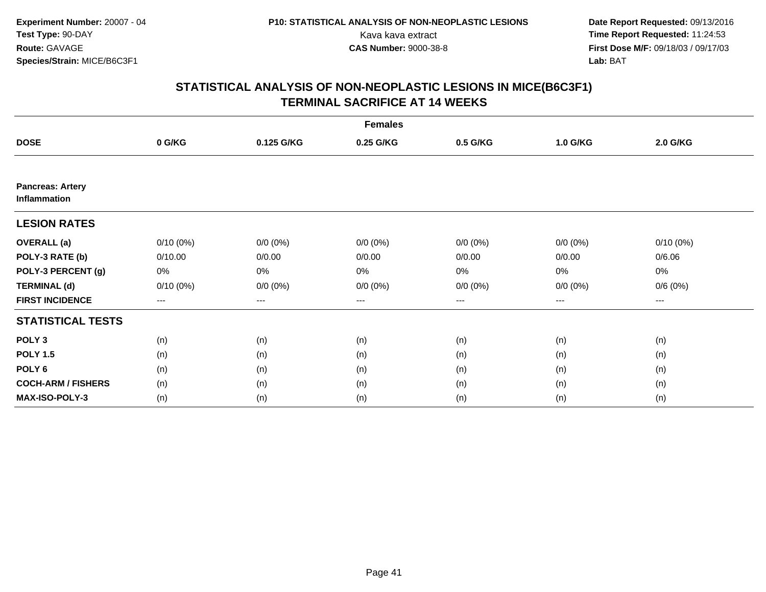|                                         |             |             | <b>Females</b> |             |             |                     |  |
|-----------------------------------------|-------------|-------------|----------------|-------------|-------------|---------------------|--|
| <b>DOSE</b>                             | 0 G/KG      | 0.125 G/KG  | 0.25 G/KG      | 0.5 G/KG    | 1.0 G/KG    | 2.0 G/KG            |  |
|                                         |             |             |                |             |             |                     |  |
| <b>Pancreas: Artery</b><br>Inflammation |             |             |                |             |             |                     |  |
| <b>LESION RATES</b>                     |             |             |                |             |             |                     |  |
| <b>OVERALL</b> (a)                      | $0/10(0\%)$ | $0/0 (0\%)$ | $0/0 (0\%)$    | $0/0 (0\%)$ | $0/0 (0\%)$ | $0/10(0\%)$         |  |
| POLY-3 RATE (b)                         | 0/10.00     | 0/0.00      | 0/0.00         | 0/0.00      | 0/0.00      | 0/6.06              |  |
| POLY-3 PERCENT (g)                      | 0%          | 0%          | 0%             | 0%          | $0\%$       | 0%                  |  |
| <b>TERMINAL (d)</b>                     | $0/10(0\%)$ | $0/0 (0\%)$ | $0/0 (0\%)$    | $0/0 (0\%)$ | $0/0 (0\%)$ | 0/6(0%)             |  |
| <b>FIRST INCIDENCE</b>                  | $---$       | $---$       | ---            | $\cdots$    | $---$       | $\qquad \qquad - -$ |  |
| <b>STATISTICAL TESTS</b>                |             |             |                |             |             |                     |  |
| POLY <sub>3</sub>                       | (n)         | (n)         | (n)            | (n)         | (n)         | (n)                 |  |
| <b>POLY 1.5</b>                         | (n)         | (n)         | (n)            | (n)         | (n)         | (n)                 |  |
| POLY <sub>6</sub>                       | (n)         | (n)         | (n)            | (n)         | (n)         | (n)                 |  |
| <b>COCH-ARM / FISHERS</b>               | (n)         | (n)         | (n)            | (n)         | (n)         | (n)                 |  |
| <b>MAX-ISO-POLY-3</b>                   | (n)         | (n)         | (n)            | (n)         | (n)         | (n)                 |  |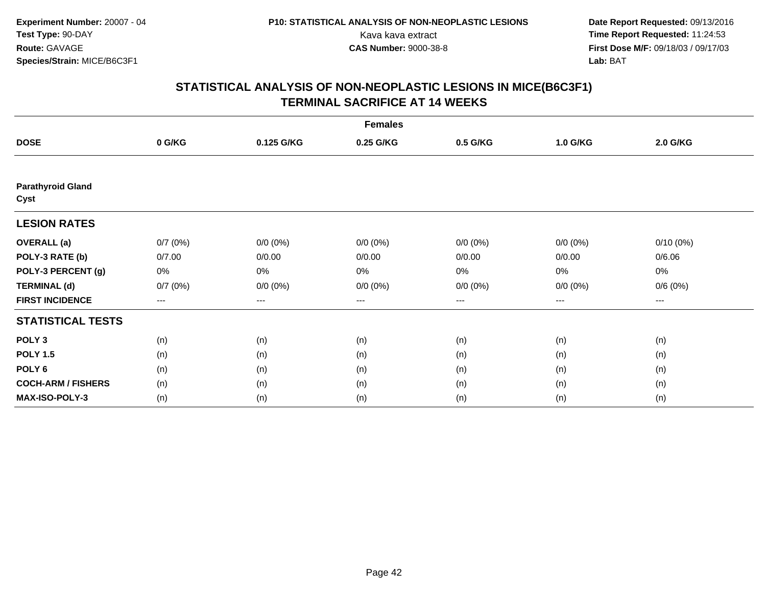|                                  |         |             | <b>Females</b> |             |             |                     |  |
|----------------------------------|---------|-------------|----------------|-------------|-------------|---------------------|--|
| <b>DOSE</b>                      | 0 G/KG  | 0.125 G/KG  | 0.25 G/KG      | 0.5 G/KG    | 1.0 G/KG    | 2.0 G/KG            |  |
|                                  |         |             |                |             |             |                     |  |
| <b>Parathyroid Gland</b><br>Cyst |         |             |                |             |             |                     |  |
| <b>LESION RATES</b>              |         |             |                |             |             |                     |  |
| <b>OVERALL</b> (a)               | 0/7(0%) | $0/0 (0\%)$ | $0/0 (0\%)$    | $0/0 (0\%)$ | $0/0 (0\%)$ | $0/10(0\%)$         |  |
| POLY-3 RATE (b)                  | 0/7.00  | 0/0.00      | 0/0.00         | 0/0.00      | 0/0.00      | 0/6.06              |  |
| POLY-3 PERCENT (g)               | 0%      | 0%          | 0%             | 0%          | $0\%$       | 0%                  |  |
| <b>TERMINAL (d)</b>              | 0/7(0%) | $0/0 (0\%)$ | $0/0 (0\%)$    | $0/0 (0\%)$ | $0/0 (0\%)$ | 0/6(0%)             |  |
| <b>FIRST INCIDENCE</b>           | ---     | $\cdots$    | ---            | $--$        | $---$       | $\qquad \qquad - -$ |  |
| <b>STATISTICAL TESTS</b>         |         |             |                |             |             |                     |  |
| POLY <sub>3</sub>                | (n)     | (n)         | (n)            | (n)         | (n)         | (n)                 |  |
| <b>POLY 1.5</b>                  | (n)     | (n)         | (n)            | (n)         | (n)         | (n)                 |  |
| POLY <sub>6</sub>                | (n)     | (n)         | (n)            | (n)         | (n)         | (n)                 |  |
| <b>COCH-ARM / FISHERS</b>        | (n)     | (n)         | (n)            | (n)         | (n)         | (n)                 |  |
| <b>MAX-ISO-POLY-3</b>            | (n)     | (n)         | (n)            | (n)         | (n)         | (n)                 |  |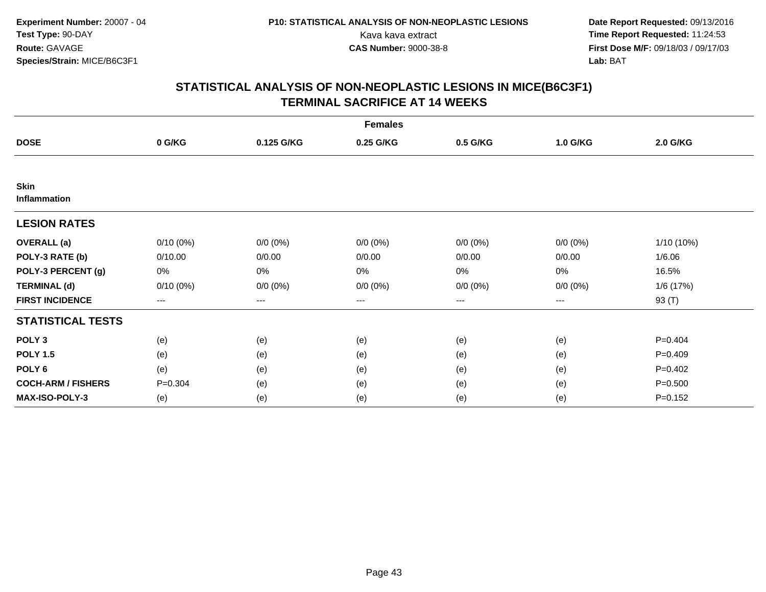|                             |             |                   | <b>Females</b> |             |             |             |
|-----------------------------|-------------|-------------------|----------------|-------------|-------------|-------------|
| <b>DOSE</b>                 | 0 G/KG      | 0.125 G/KG        | 0.25 G/KG      | 0.5 G/KG    | 1.0 G/KG    | 2.0 G/KG    |
|                             |             |                   |                |             |             |             |
| <b>Skin</b><br>Inflammation |             |                   |                |             |             |             |
| <b>LESION RATES</b>         |             |                   |                |             |             |             |
| <b>OVERALL</b> (a)          | $0/10(0\%)$ | $0/0 (0\%)$       | $0/0 (0\%)$    | $0/0 (0\%)$ | $0/0 (0\%)$ | 1/10 (10%)  |
| POLY-3 RATE (b)             | 0/10.00     | 0/0.00            | 0/0.00         | 0/0.00      | 0/0.00      | 1/6.06      |
| POLY-3 PERCENT (g)          | 0%          | 0%                | 0%             | 0%          | $0\%$       | 16.5%       |
| <b>TERMINAL (d)</b>         | $0/10(0\%)$ | $0/0 (0\%)$       | $0/0 (0\%)$    | $0/0 (0\%)$ | $0/0 (0\%)$ | 1/6(17%)    |
| <b>FIRST INCIDENCE</b>      | ---         | $\qquad \qquad -$ | ---            | $--$        | ---         | 93 (T)      |
| <b>STATISTICAL TESTS</b>    |             |                   |                |             |             |             |
| POLY <sub>3</sub>           | (e)         | (e)               | (e)            | (e)         | (e)         | $P=0.404$   |
| <b>POLY 1.5</b>             | (e)         | (e)               | (e)            | (e)         | (e)         | $P=0.409$   |
| POLY <sub>6</sub>           | (e)         | (e)               | (e)            | (e)         | (e)         | $P=0.402$   |
| <b>COCH-ARM / FISHERS</b>   | $P = 0.304$ | (e)               | (e)            | (e)         | (e)         | $P = 0.500$ |
| <b>MAX-ISO-POLY-3</b>       | (e)         | (e)               | (e)            | (e)         | (e)         | $P = 0.152$ |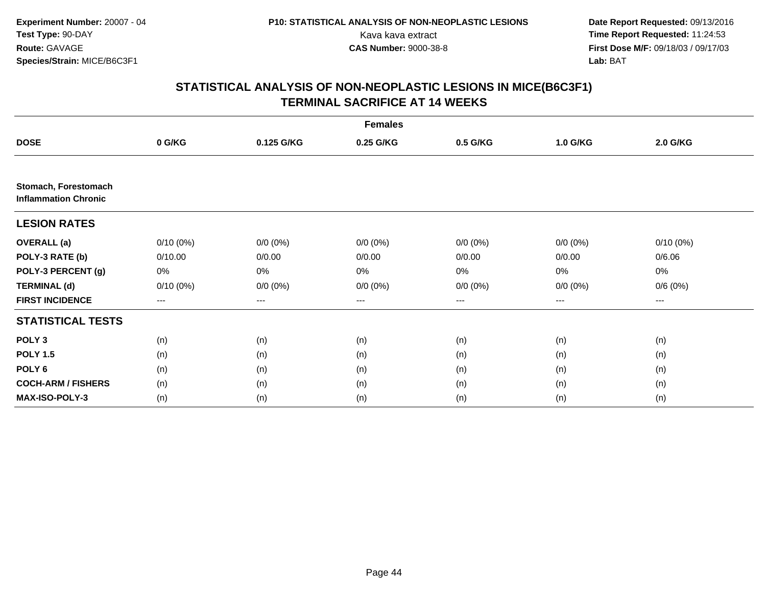|                                                     |             |             | <b>Females</b>         |             |             |             |  |
|-----------------------------------------------------|-------------|-------------|------------------------|-------------|-------------|-------------|--|
| <b>DOSE</b>                                         | 0 G/KG      | 0.125 G/KG  | 0.25 G/KG              | 0.5 G/KG    | 1.0 G/KG    | 2.0 G/KG    |  |
|                                                     |             |             |                        |             |             |             |  |
| Stomach, Forestomach<br><b>Inflammation Chronic</b> |             |             |                        |             |             |             |  |
| <b>LESION RATES</b>                                 |             |             |                        |             |             |             |  |
| <b>OVERALL</b> (a)                                  | $0/10(0\%)$ | $0/0 (0\%)$ | $0/0 (0\%)$            | $0/0 (0\%)$ | $0/0 (0\%)$ | $0/10(0\%)$ |  |
| POLY-3 RATE (b)                                     | 0/10.00     | 0/0.00      | 0/0.00                 | 0/0.00      | 0/0.00      | 0/6.06      |  |
| POLY-3 PERCENT (g)                                  | 0%          | 0%          | 0%                     | 0%          | 0%          | 0%          |  |
| <b>TERMINAL (d)</b>                                 | $0/10(0\%)$ | $0/0 (0\%)$ | $0/0 (0\%)$            | $0/0 (0\%)$ | $0/0 (0\%)$ | 0/6(0%)     |  |
| <b>FIRST INCIDENCE</b>                              | ---         | ---         | $\qquad \qquad \cdots$ | ---         | ---         | ---         |  |
| <b>STATISTICAL TESTS</b>                            |             |             |                        |             |             |             |  |
| POLY <sub>3</sub>                                   | (n)         | (n)         | (n)                    | (n)         | (n)         | (n)         |  |
| <b>POLY 1.5</b>                                     | (n)         | (n)         | (n)                    | (n)         | (n)         | (n)         |  |
| POLY <sub>6</sub>                                   | (n)         | (n)         | (n)                    | (n)         | (n)         | (n)         |  |
| <b>COCH-ARM / FISHERS</b>                           | (n)         | (n)         | (n)                    | (n)         | (n)         | (n)         |  |
| MAX-ISO-POLY-3                                      | (n)         | (n)         | (n)                    | (n)         | (n)         | (n)         |  |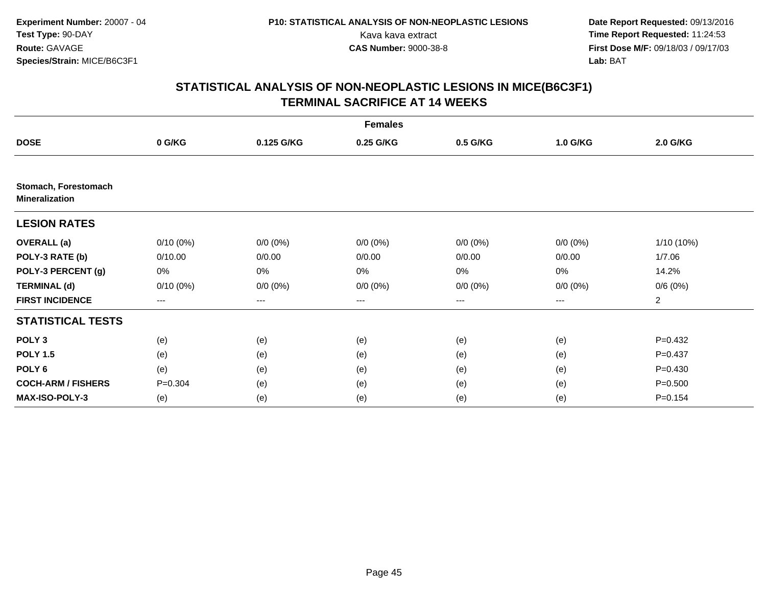|                                               |                   |             | <b>Females</b> |             |             |                 |
|-----------------------------------------------|-------------------|-------------|----------------|-------------|-------------|-----------------|
| <b>DOSE</b>                                   | 0 G/KG            | 0.125 G/KG  | 0.25 G/KG      | 0.5 G/KG    | 1.0 G/KG    | <b>2.0 G/KG</b> |
|                                               |                   |             |                |             |             |                 |
| Stomach, Forestomach<br><b>Mineralization</b> |                   |             |                |             |             |                 |
| <b>LESION RATES</b>                           |                   |             |                |             |             |                 |
| <b>OVERALL</b> (a)                            | $0/10(0\%)$       | $0/0 (0\%)$ | $0/0 (0\%)$    | $0/0 (0\%)$ | $0/0 (0\%)$ | 1/10 (10%)      |
| POLY-3 RATE (b)                               | 0/10.00           | 0/0.00      | 0/0.00         | 0/0.00      | 0/0.00      | 1/7.06          |
| POLY-3 PERCENT (g)                            | 0%                | 0%          | 0%             | 0%          | 0%          | 14.2%           |
| <b>TERMINAL (d)</b>                           | $0/10(0\%)$       | $0/0 (0\%)$ | $0/0 (0\%)$    | $0/0 (0\%)$ | $0/0 (0\%)$ | 0/6(0%)         |
| <b>FIRST INCIDENCE</b>                        | $\qquad \qquad -$ | ---         | ---            | ---         | ---         | $\overline{a}$  |
| <b>STATISTICAL TESTS</b>                      |                   |             |                |             |             |                 |
| POLY <sub>3</sub>                             | (e)               | (e)         | (e)            | (e)         | (e)         | $P=0.432$       |
| <b>POLY 1.5</b>                               | (e)               | (e)         | (e)            | (e)         | (e)         | $P = 0.437$     |
| POLY <sub>6</sub>                             | (e)               | (e)         | (e)            | (e)         | (e)         | $P=0.430$       |
| <b>COCH-ARM / FISHERS</b>                     | $P = 0.304$       | (e)         | (e)            | (e)         | (e)         | $P = 0.500$     |
| <b>MAX-ISO-POLY-3</b>                         | (e)               | (e)         | (e)            | (e)         | (e)         | $P = 0.154$     |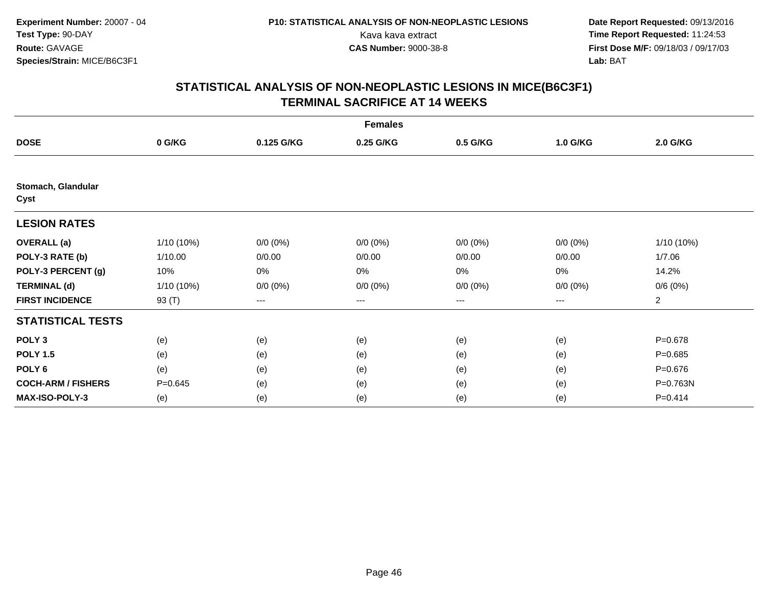|                            |              |             | <b>Females</b> |             |             |                |
|----------------------------|--------------|-------------|----------------|-------------|-------------|----------------|
| <b>DOSE</b>                | 0 G/KG       | 0.125 G/KG  | 0.25 G/KG      | 0.5 G/KG    | 1.0 G/KG    | 2.0 G/KG       |
|                            |              |             |                |             |             |                |
| Stomach, Glandular<br>Cyst |              |             |                |             |             |                |
| <b>LESION RATES</b>        |              |             |                |             |             |                |
| <b>OVERALL</b> (a)         | $1/10(10\%)$ | $0/0 (0\%)$ | $0/0 (0\%)$    | $0/0 (0\%)$ | $0/0 (0\%)$ | 1/10 (10%)     |
| POLY-3 RATE (b)            | 1/10.00      | 0/0.00      | 0/0.00         | 0/0.00      | 0/0.00      | 1/7.06         |
| POLY-3 PERCENT (g)         | 10%          | 0%          | 0%             | 0%          | $0\%$       | 14.2%          |
| <b>TERMINAL (d)</b>        | $1/10(10\%)$ | $0/0 (0\%)$ | $0/0 (0\%)$    | $0/0 (0\%)$ | $0/0 (0\%)$ | 0/6(0%)        |
| <b>FIRST INCIDENCE</b>     | 93 (T)       | ---         | ---            | $--$        | ---         | $\overline{a}$ |
| <b>STATISTICAL TESTS</b>   |              |             |                |             |             |                |
| POLY <sub>3</sub>          | (e)          | (e)         | (e)            | (e)         | (e)         | $P = 0.678$    |
| <b>POLY 1.5</b>            | (e)          | (e)         | (e)            | (e)         | (e)         | $P=0.685$      |
| POLY <sub>6</sub>          | (e)          | (e)         | (e)            | (e)         | (e)         | $P = 0.676$    |
| <b>COCH-ARM / FISHERS</b>  | $P = 0.645$  | (e)         | (e)            | (e)         | (e)         | P=0.763N       |
| <b>MAX-ISO-POLY-3</b>      | (e)          | (e)         | (e)            | (e)         | (e)         | $P = 0.414$    |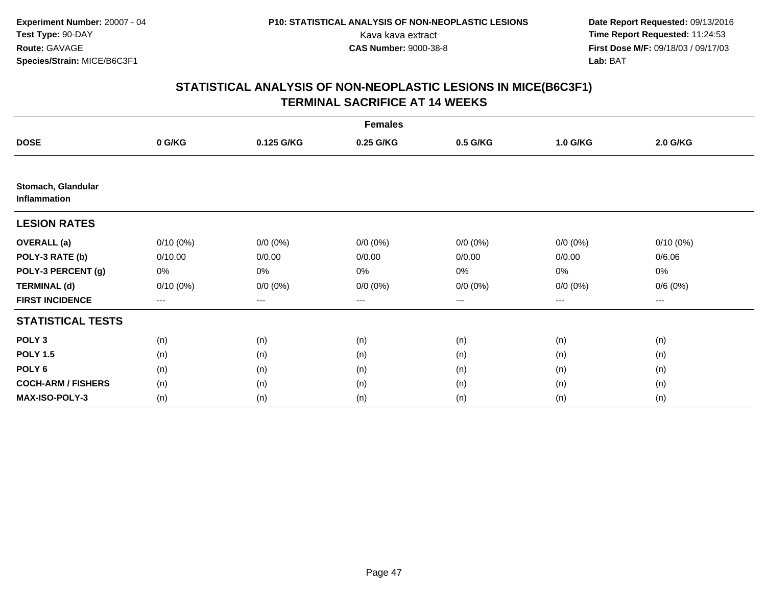|                                    |                   |             | <b>Females</b> |             |             |             |  |
|------------------------------------|-------------------|-------------|----------------|-------------|-------------|-------------|--|
| <b>DOSE</b>                        | 0 G/KG            | 0.125 G/KG  | 0.25 G/KG      | 0.5 G/KG    | 1.0 G/KG    | 2.0 G/KG    |  |
|                                    |                   |             |                |             |             |             |  |
| Stomach, Glandular<br>Inflammation |                   |             |                |             |             |             |  |
| <b>LESION RATES</b>                |                   |             |                |             |             |             |  |
| <b>OVERALL</b> (a)                 | $0/10(0\%)$       | $0/0 (0\%)$ | $0/0 (0\%)$    | $0/0 (0\%)$ | $0/0 (0\%)$ | $0/10(0\%)$ |  |
| POLY-3 RATE (b)                    | 0/10.00           | 0/0.00      | 0/0.00         | 0/0.00      | 0/0.00      | 0/6.06      |  |
| POLY-3 PERCENT (g)                 | 0%                | 0%          | 0%             | 0%          | 0%          | 0%          |  |
| <b>TERMINAL (d)</b>                | $0/10(0\%)$       | $0/0 (0\%)$ | $0/0 (0\%)$    | $0/0 (0\%)$ | $0/0 (0\%)$ | 0/6(0%)     |  |
| <b>FIRST INCIDENCE</b>             | $\qquad \qquad -$ | ---         | ---            | ---         | ---         | ---         |  |
| <b>STATISTICAL TESTS</b>           |                   |             |                |             |             |             |  |
| POLY <sub>3</sub>                  | (n)               | (n)         | (n)            | (n)         | (n)         | (n)         |  |
| <b>POLY 1.5</b>                    | (n)               | (n)         | (n)            | (n)         | (n)         | (n)         |  |
| POLY <sub>6</sub>                  | (n)               | (n)         | (n)            | (n)         | (n)         | (n)         |  |
| <b>COCH-ARM / FISHERS</b>          | (n)               | (n)         | (n)            | (n)         | (n)         | (n)         |  |
| <b>MAX-ISO-POLY-3</b>              | (n)               | (n)         | (n)            | (n)         | (n)         | (n)         |  |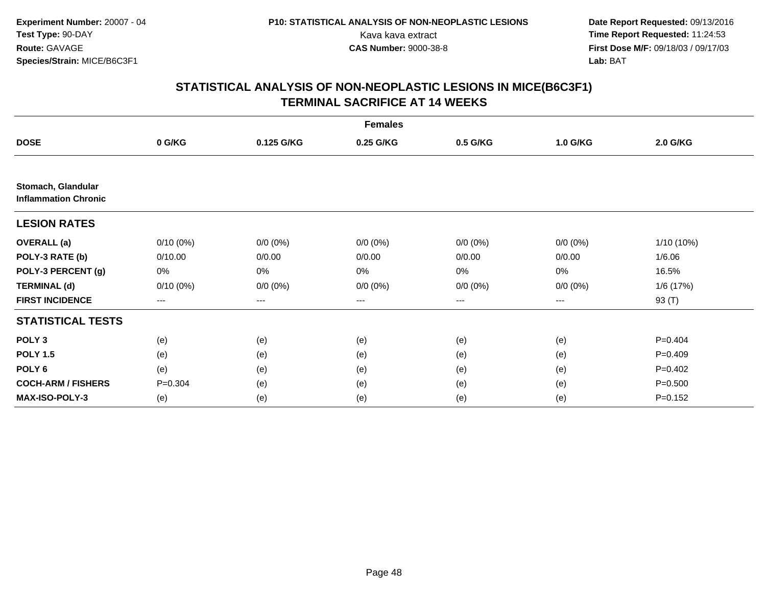|                                                   |                   |             | <b>Females</b> |             |             |                 |
|---------------------------------------------------|-------------------|-------------|----------------|-------------|-------------|-----------------|
| <b>DOSE</b>                                       | 0 G/KG            | 0.125 G/KG  | 0.25 G/KG      | 0.5 G/KG    | 1.0 G/KG    | <b>2.0 G/KG</b> |
|                                                   |                   |             |                |             |             |                 |
| Stomach, Glandular<br><b>Inflammation Chronic</b> |                   |             |                |             |             |                 |
| <b>LESION RATES</b>                               |                   |             |                |             |             |                 |
| <b>OVERALL</b> (a)                                | $0/10(0\%)$       | $0/0 (0\%)$ | $0/0 (0\%)$    | $0/0 (0\%)$ | $0/0 (0\%)$ | $1/10(10\%)$    |
| POLY-3 RATE (b)                                   | 0/10.00           | 0/0.00      | 0/0.00         | 0/0.00      | 0/0.00      | 1/6.06          |
| POLY-3 PERCENT (g)                                | 0%                | 0%          | $0\%$          | 0%          | 0%          | 16.5%           |
| <b>TERMINAL (d)</b>                               | $0/10(0\%)$       | $0/0 (0\%)$ | $0/0 (0\%)$    | $0/0(0\%)$  | $0/0 (0\%)$ | 1/6 (17%)       |
| <b>FIRST INCIDENCE</b>                            | $\qquad \qquad -$ | ---         | ---            | $---$       | ---         | 93 (T)          |
| <b>STATISTICAL TESTS</b>                          |                   |             |                |             |             |                 |
| POLY <sub>3</sub>                                 | (e)               | (e)         | (e)            | (e)         | (e)         | $P=0.404$       |
| <b>POLY 1.5</b>                                   | (e)               | (e)         | (e)            | (e)         | (e)         | $P=0.409$       |
| POLY <sub>6</sub>                                 | (e)               | (e)         | (e)            | (e)         | (e)         | $P=0.402$       |
| <b>COCH-ARM / FISHERS</b>                         | $P = 0.304$       | (e)         | (e)            | (e)         | (e)         | $P = 0.500$     |
| MAX-ISO-POLY-3                                    | (e)               | (e)         | (e)            | (e)         | (e)         | $P=0.152$       |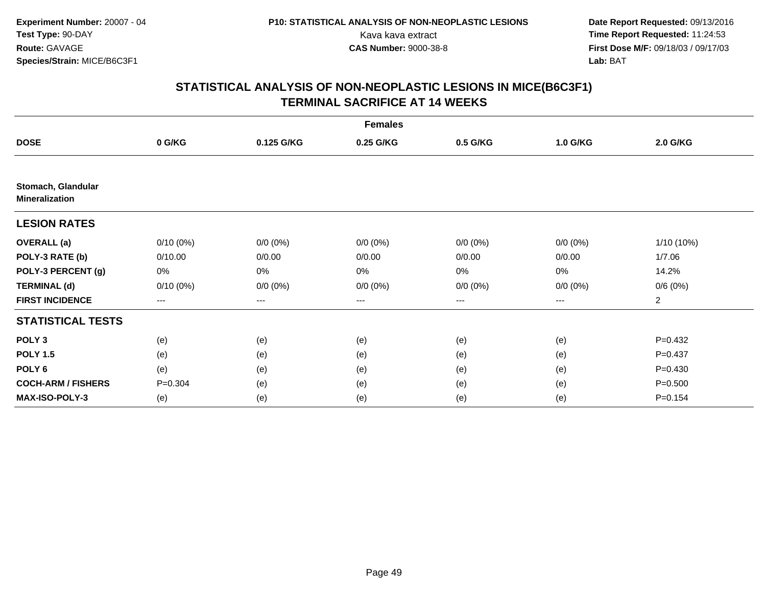|                                             |                   |             | <b>Females</b> |             |             |                 |
|---------------------------------------------|-------------------|-------------|----------------|-------------|-------------|-----------------|
| <b>DOSE</b>                                 | 0 G/KG            | 0.125 G/KG  | 0.25 G/KG      | 0.5 G/KG    | 1.0 G/KG    | <b>2.0 G/KG</b> |
|                                             |                   |             |                |             |             |                 |
| Stomach, Glandular<br><b>Mineralization</b> |                   |             |                |             |             |                 |
| <b>LESION RATES</b>                         |                   |             |                |             |             |                 |
| <b>OVERALL</b> (a)                          | $0/10(0\%)$       | $0/0 (0\%)$ | $0/0 (0\%)$    | $0/0 (0\%)$ | $0/0 (0\%)$ | 1/10 (10%)      |
| POLY-3 RATE (b)                             | 0/10.00           | 0/0.00      | 0/0.00         | 0/0.00      | 0/0.00      | 1/7.06          |
| POLY-3 PERCENT (g)                          | 0%                | 0%          | 0%             | 0%          | 0%          | 14.2%           |
| <b>TERMINAL (d)</b>                         | $0/10(0\%)$       | $0/0 (0\%)$ | $0/0 (0\%)$    | $0/0 (0\%)$ | $0/0 (0\%)$ | 0/6(0%)         |
| <b>FIRST INCIDENCE</b>                      | $\qquad \qquad -$ | ---         | ---            | ---         | ---         | $\overline{a}$  |
| <b>STATISTICAL TESTS</b>                    |                   |             |                |             |             |                 |
| POLY <sub>3</sub>                           | (e)               | (e)         | (e)            | (e)         | (e)         | $P=0.432$       |
| <b>POLY 1.5</b>                             | (e)               | (e)         | (e)            | (e)         | (e)         | $P = 0.437$     |
| POLY <sub>6</sub>                           | (e)               | (e)         | (e)            | (e)         | (e)         | $P=0.430$       |
| <b>COCH-ARM / FISHERS</b>                   | $P = 0.304$       | (e)         | (e)            | (e)         | (e)         | $P = 0.500$     |
| <b>MAX-ISO-POLY-3</b>                       | (e)               | (e)         | (e)            | (e)         | (e)         | $P = 0.154$     |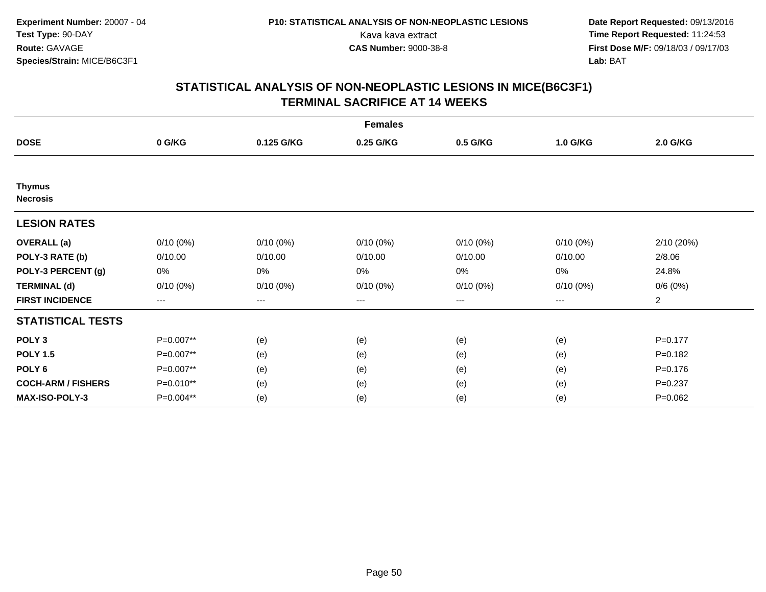| <b>Females</b>                   |             |                        |             |                   |             |                |  |  |
|----------------------------------|-------------|------------------------|-------------|-------------------|-------------|----------------|--|--|
| <b>DOSE</b>                      | 0 G/KG      | 0.125 G/KG             | 0.25 G/KG   | 0.5 G/KG          | 1.0 G/KG    | 2.0 G/KG       |  |  |
|                                  |             |                        |             |                   |             |                |  |  |
| <b>Thymus</b><br><b>Necrosis</b> |             |                        |             |                   |             |                |  |  |
| <b>LESION RATES</b>              |             |                        |             |                   |             |                |  |  |
| <b>OVERALL</b> (a)               | $0/10(0\%)$ | $0/10(0\%)$            | $0/10(0\%)$ | $0/10(0\%)$       | $0/10(0\%)$ | 2/10 (20%)     |  |  |
| POLY-3 RATE (b)                  | 0/10.00     | 0/10.00                | 0/10.00     | 0/10.00           | 0/10.00     | 2/8.06         |  |  |
| POLY-3 PERCENT (g)               | 0%          | 0%                     | 0%          | 0%                | $0\%$       | 24.8%          |  |  |
| <b>TERMINAL (d)</b>              | $0/10(0\%)$ | $0/10(0\%)$            | $0/10(0\%)$ | $0/10(0\%)$       | $0/10(0\%)$ | 0/6(0%)        |  |  |
| <b>FIRST INCIDENCE</b>           | ---         | $\qquad \qquad \cdots$ | $---$       | $\qquad \qquad -$ | $---$       | $\overline{c}$ |  |  |
| <b>STATISTICAL TESTS</b>         |             |                        |             |                   |             |                |  |  |
| POLY <sub>3</sub>                | P=0.007**   | (e)                    | (e)         | (e)               | (e)         | $P=0.177$      |  |  |
| <b>POLY 1.5</b>                  | P=0.007**   | (e)                    | (e)         | (e)               | (e)         | $P = 0.182$    |  |  |
| POLY <sub>6</sub>                | P=0.007**   | (e)                    | (e)         | (e)               | (e)         | $P = 0.176$    |  |  |
| <b>COCH-ARM / FISHERS</b>        | P=0.010**   | (e)                    | (e)         | (e)               | (e)         | $P = 0.237$    |  |  |
| MAX-ISO-POLY-3                   | P=0.004**   | (e)                    | (e)         | (e)               | (e)         | $P=0.062$      |  |  |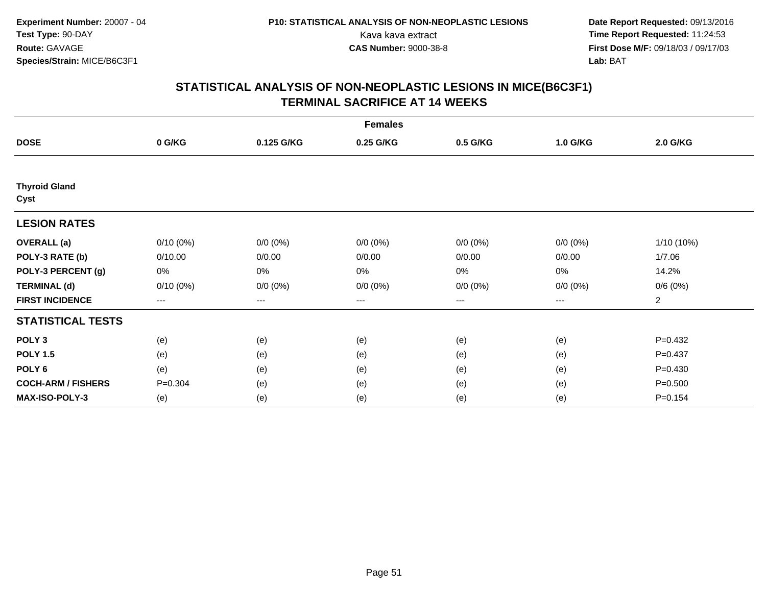| <b>Females</b>               |             |                   |             |                   |             |                |  |  |
|------------------------------|-------------|-------------------|-------------|-------------------|-------------|----------------|--|--|
| <b>DOSE</b>                  | 0 G/KG      | 0.125 G/KG        | 0.25 G/KG   | 0.5 G/KG          | 1.0 G/KG    | 2.0 G/KG       |  |  |
|                              |             |                   |             |                   |             |                |  |  |
| <b>Thyroid Gland</b><br>Cyst |             |                   |             |                   |             |                |  |  |
| <b>LESION RATES</b>          |             |                   |             |                   |             |                |  |  |
| <b>OVERALL</b> (a)           | $0/10(0\%)$ | $0/0 (0\%)$       | $0/0 (0\%)$ | $0/0 (0\%)$       | $0/0 (0\%)$ | 1/10 (10%)     |  |  |
| POLY-3 RATE (b)              | 0/10.00     | 0/0.00            | 0/0.00      | 0/0.00            | 0/0.00      | 1/7.06         |  |  |
| POLY-3 PERCENT (g)           | 0%          | 0%                | 0%          | 0%                | $0\%$       | 14.2%          |  |  |
| <b>TERMINAL (d)</b>          | $0/10(0\%)$ | $0/0 (0\%)$       | $0/0 (0\%)$ | $0/0 (0\%)$       | $0/0 (0\%)$ | 0/6(0%)        |  |  |
| <b>FIRST INCIDENCE</b>       | ---         | $\qquad \qquad -$ | $---$       | $\qquad \qquad -$ | $---$       | $\overline{c}$ |  |  |
| <b>STATISTICAL TESTS</b>     |             |                   |             |                   |             |                |  |  |
| POLY <sub>3</sub>            | (e)         | (e)               | (e)         | (e)               | (e)         | $P=0.432$      |  |  |
| <b>POLY 1.5</b>              | (e)         | (e)               | (e)         | (e)               | (e)         | $P = 0.437$    |  |  |
| POLY 6                       | (e)         | (e)               | (e)         | (e)               | (e)         | $P=0.430$      |  |  |
| <b>COCH-ARM / FISHERS</b>    | $P = 0.304$ | (e)               | (e)         | (e)               | (e)         | $P = 0.500$    |  |  |
| MAX-ISO-POLY-3               | (e)         | (e)               | (e)         | (e)               | (e)         | $P = 0.154$    |  |  |